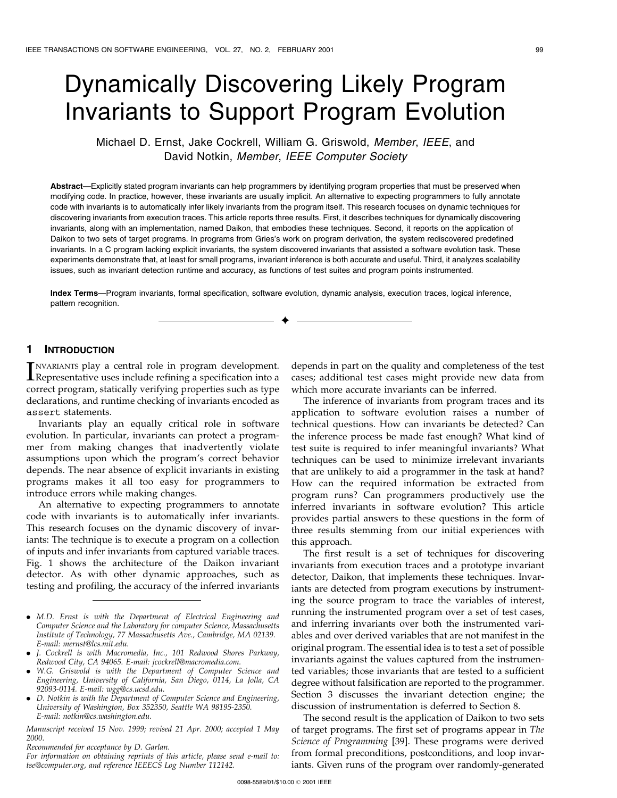# Dynamically Discovering Likely Program Invariants to Support Program Evolution

Michael D. Ernst, Jake Cockrell, William G. Griswold, Member, IEEE, and David Notkin, Member, IEEE Computer Society

Abstract—Explicitly stated program invariants can help programmers by identifying program properties that must be preserved when modifying code. In practice, however, these invariants are usually implicit. An alternative to expecting programmers to fully annotate code with invariants is to automatically infer likely invariants from the program itself. This research focuses on dynamic techniques for discovering invariants from execution traces. This article reports three results. First, it describes techniques for dynamically discovering invariants, along with an implementation, named Daikon, that embodies these techniques. Second, it reports on the application of Daikon to two sets of target programs. In programs from Gries's work on program derivation, the system rediscovered predefined invariants. In a C program lacking explicit invariants, the system discovered invariants that assisted a software evolution task. These experiments demonstrate that, at least for small programs, invariant inference is both accurate and useful. Third, it analyzes scalability issues, such as invariant detection runtime and accuracy, as functions of test suites and program points instrumented.

Index Terms-Program invariants, formal specification, software evolution, dynamic analysis, execution traces, logical inference, pattern recognition.

æ

# 1 INTRODUCTION

I Representative uses include refining a specification into a NVARIANTS play a central role in program development. correct program, statically verifying properties such as type declarations, and runtime checking of invariants encoded as assert statements.

Invariants play an equally critical role in software evolution. In particular, invariants can protect a programmer from making changes that inadvertently violate assumptions upon which the program's correct behavior depends. The near absence of explicit invariants in existing programs makes it all too easy for programmers to introduce errors while making changes.

An alternative to expecting programmers to annotate code with invariants is to automatically infer invariants. This research focuses on the dynamic discovery of invariants: The technique is to execute a program on a collection of inputs and infer invariants from captured variable traces. Fig. 1 shows the architecture of the Daikon invariant detector. As with other dynamic approaches, such as testing and profiling, the accuracy of the inferred invariants

Manuscript received 15 Nov. 1999; revised 21 Apr. 2000; accepted 1 May 2000.

Recommended for acceptance by D. Garlan.

For information on obtaining reprints of this article, please send e-mail to: tse@computer.org, and reference IEEECS Log Number 112142.

depends in part on the quality and completeness of the test cases; additional test cases might provide new data from which more accurate invariants can be inferred.

The inference of invariants from program traces and its application to software evolution raises a number of technical questions. How can invariants be detected? Can the inference process be made fast enough? What kind of test suite is required to infer meaningful invariants? What techniques can be used to minimize irrelevant invariants that are unlikely to aid a programmer in the task at hand? How can the required information be extracted from program runs? Can programmers productively use the inferred invariants in software evolution? This article provides partial answers to these questions in the form of three results stemming from our initial experiences with this approach.

The first result is a set of techniques for discovering invariants from execution traces and a prototype invariant detector, Daikon, that implements these techniques. Invariants are detected from program executions by instrumenting the source program to trace the variables of interest, running the instrumented program over a set of test cases, and inferring invariants over both the instrumented variables and over derived variables that are not manifest in the original program. The essential idea is to test a set of possible invariants against the values captured from the instrumented variables; those invariants that are tested to a sufficient degree without falsification are reported to the programmer. Section 3 discusses the invariant detection engine; the discussion of instrumentation is deferred to Section 8.

The second result is the application of Daikon to two sets of target programs. The first set of programs appear in The Science of Programming [39]. These programs were derived from formal preconditions, postconditions, and loop invariants. Given runs of the program over randomly-generated

<sup>.</sup> M.D. Ernst is with the Department of Electrical Engineering and Computer Science and the Laboratory for computer Science, Massachusetts Institute of Technology, 77 Massachusetts Ave., Cambridge, MA 02139. E-mail: mernst@lcs.mit.edu.

<sup>.</sup> J. Cockrell is with Macromedia, Inc., 101 Redwood Shores Parkway, Redwood City, CA 94065. E-mail: jcockrell@macromedia.com.

<sup>.</sup> W.G. Griswold is with the Department of Computer Science and Engineering, University of California, San Diego, 0114, La Jolla, CA 92093-0114. E-mail: wgg@cs.ucsd.edu.

<sup>.</sup> D. Notkin is with the Department of Computer Science and Engineering, University of Washington, Box 352350, Seattle WA 98195-2350. E-mail: notkin@cs.washington.edu.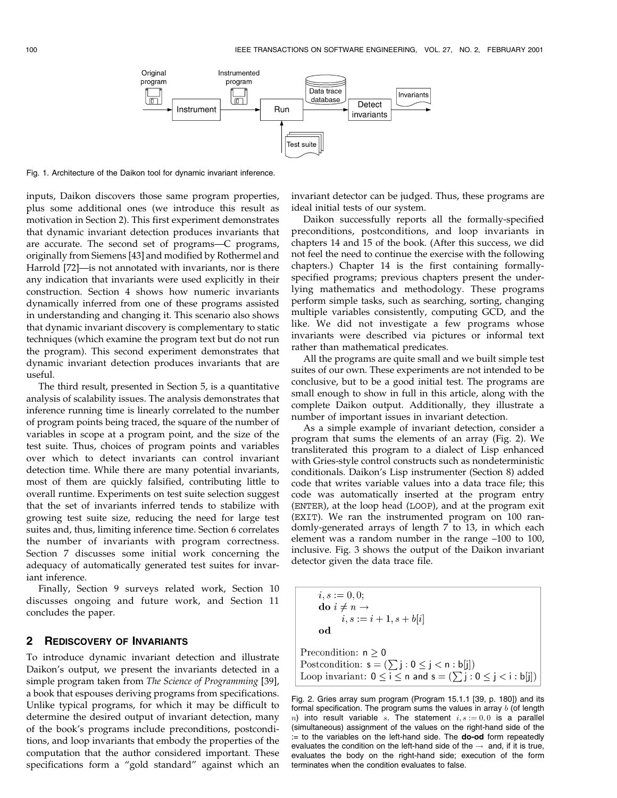

Fig. 1. Architecture of the Daikon tool for dynamic invariant inference.

inputs, Daikon discovers those same program properties, plus some additional ones (we introduce this result as motivation in Section 2). This first experiment demonstrates that dynamic invariant detection produces invariants that are accurate. The second set of programs-C programs, originally from Siemens [43] and modified by Rothermel and Harrold [72]—is not annotated with invariants, nor is there any indication that invariants were used explicitly in their construction. Section 4 shows how numeric invariants dynamically inferred from one of these programs assisted in understanding and changing it. This scenario also shows that dynamic invariant discovery is complementary to static techniques (which examine the program text but do not run the program). This second experiment demonstrates that dynamic invariant detection produces invariants that are useful.

The third result, presented in Section 5, is a quantitative analysis of scalability issues. The analysis demonstrates that inference running time is linearly correlated to the number of program points being traced, the square of the number of variables in scope at a program point, and the size of the test suite. Thus, choices of program points and variables over which to detect invariants can control invariant detection time. While there are many potential invariants, most of them are quickly falsified, contributing little to overall runtime. Experiments on test suite selection suggest that the set of invariants inferred tends to stabilize with growing test suite size, reducing the need for large test suites and, thus, limiting inference time. Section 6 correlates the number of invariants with program correctness. Section 7 discusses some initial work concerning the adequacy of automatically generated test suites for invariant inference.

Finally, Section 9 surveys related work, Section 10 discusses ongoing and future work, and Section 11 concludes the paper.

## 2 REDISCOVERY OF INVARIANTS

To introduce dynamic invariant detection and illustrate Daikon's output, we present the invariants detected in a simple program taken from The Science of Programming [39], a book that espouses deriving programs from specifications. Unlike typical programs, for which it may be difficult to determine the desired output of invariant detection, many of the book's programs include preconditions, postconditions, and loop invariants that embody the properties of the computation that the author considered important. These specifications form a "gold standard" against which an

invariant detector can be judged. Thus, these programs are ideal initial tests of our system.

Daikon successfully reports all the formally-specified preconditions, postconditions, and loop invariants in chapters 14 and 15 of the book. (After this success, we did not feel the need to continue the exercise with the following chapters.) Chapter 14 is the first containing formallyspecified programs; previous chapters present the underlying mathematics and methodology. These programs perform simple tasks, such as searching, sorting, changing multiple variables consistently, computing GCD, and the like. We did not investigate a few programs whose invariants were described via pictures or informal text rather than mathematical predicates.

All the programs are quite small and we built simple test suites of our own. These experiments are not intended to be conclusive, but to be a good initial test. The programs are small enough to show in full in this article, along with the complete Daikon output. Additionally, they illustrate a number of important issues in invariant detection.

As a simple example of invariant detection, consider a program that sums the elements of an array (Fig. 2). We transliterated this program to a dialect of Lisp enhanced with Gries-style control constructs such as nondeterministic conditionals. Daikon's Lisp instrumenter (Section 8) added code that writes variable values into a data trace file; this code was automatically inserted at the program entry (ENTER), at the loop head (LOOP), and at the program exit (EXIT). We ran the instrumented program on 100 randomly-generated arrays of length 7 to 13, in which each element was a random number in the range  $-100$  to  $100$ , inclusive. Fig. 3 shows the output of the Daikon invariant detector given the data trace file.

$$
i, s := 0, 0;
$$
  
\n**do**  $i \neq n \rightarrow$   
\n $i, s := i + 1, s + b[i]$   
\n**od**

Precondition:  $n \geq 0$ Postcondition:  $s = (\sum j : 0 \le j < n : b[j])$ Loop invariant:  $0 \le i \le n$  and  $s = (\sum j : 0 \le j < i : b[j])$ 

Fig. 2. Gries array sum program (Program 15.1.1 [39, p. 180]) and its formal specification. The program sums the values in array  $b$  (of length n) into result variable s. The statement  $i, s := 0, 0$  is a parallel (simultaneous) assignment of the values on the right-hand side of the  $:=$  to the variables on the left-hand side. The **do-od** form repeatedly evaluates the condition on the left-hand side of the  $\rightarrow$  and, if it is true, evaluates the body on the right-hand side; execution of the form terminates when the condition evaluates to false.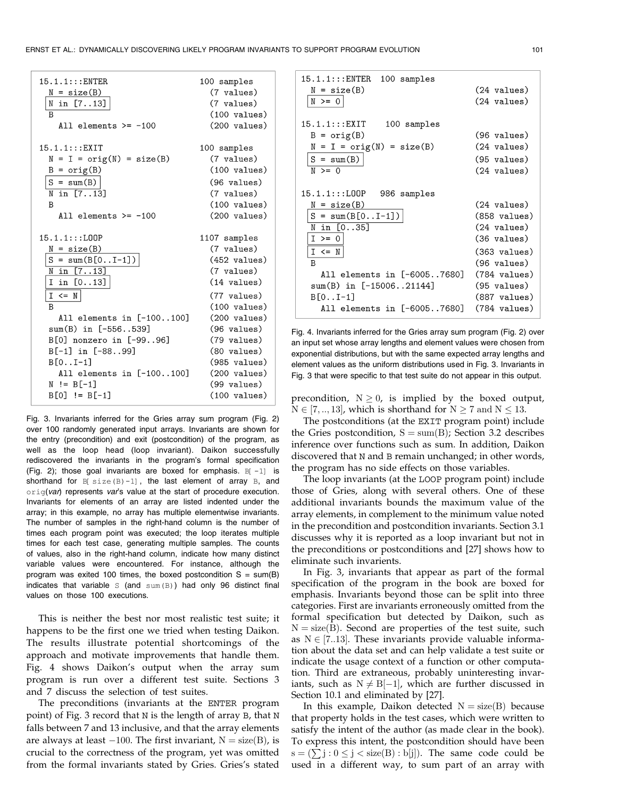| $15.1.1::$ : ENTER          | 100 samples            |
|-----------------------------|------------------------|
| $N = size(B)$               | (7 values)             |
| N in [713]                  | (7 values)             |
| B                           | $(100 \text{ values})$ |
| All elements $>= -100$      | $(200 \text{ values})$ |
| 15.1.1::EXIT                | 100 samples            |
| $N = I = orig(N) = size(B)$ | (7 values)             |
| $B = orig(B)$               | $(100 \text{ values})$ |
| $S = sum(B)$                | (96 values)            |
| $N$ in $[713]$              | (7 values)             |
| B                           | $(100 \text{ values})$ |
| All elements $>= -100$      | $(200 \text{ values})$ |
| 15.1.1::L00P                | 1107 samples           |
| $N = size(B)$               | (7 values)             |
| $S = sum(B[0I-1])$          | $(452 \text{ values})$ |
| N in [713]                  | (7 values)             |
| I in $[013]$                | (14 values)            |
| $I \leq N$                  | (77 values)            |
| <sub>B</sub>                | $(100 \text{ values})$ |
| All elements in [-100100]   | $(200 \text{ values})$ |
| sum(B) in [-556539]         | (96 values)            |
| $B[0]$ nonzero in $[-9996]$ | (79 values)            |
| B[-1] in [-8899]            | $(80 \text{ values})$  |
| $B[0I-1]$                   | $(985 \text{ values})$ |
| All elements in [-100100]   | $(200 \text{ values})$ |
| $N := B[-1]$                | $(99 \text{ values})$  |
| $B[0]$ != $B[-1]$           | $(100 \text{ values})$ |

Fig. 3. Invariants inferred for the Gries array sum program (Fig. 2) over 100 randomly generated input arrays. Invariants are shown for the entry (precondition) and exit (postcondition) of the program, as well as the loop head (loop invariant). Daikon successfully rediscovered the invariants in the program's formal specification (Fig. 2); those goal invariants are boxed for emphasis.  $B[-1]$  is shorthand for  $B[size(B)-1]$ , the last element of array  $B$ , and orig(var) represents var's value at the start of procedure execution. Invariants for elements of an array are listed indented under the array; in this example, no array has multiple elementwise invariants. The number of samples in the right-hand column is the number of times each program point was executed; the loop iterates multiple times for each test case, generating multiple samples. The counts of values, also in the right-hand column, indicate how many distinct variable values were encountered. For instance, although the program was exited 100 times, the boxed postcondition  $S = sum(B)$ indicates that variable  $S$  (and  $Sum(B)$ ) had only 96 distinct final values on those 100 executions.

This is neither the best nor most realistic test suite; it happens to be the first one we tried when testing Daikon. The results illustrate potential shortcomings of the approach and motivate improvements that handle them. Fig. 4 shows Daikon's output when the array sum program is run over a different test suite. Sections 3 and 7 discuss the selection of test suites.

The preconditions (invariants at the ENTER program point) of Fig. 3 record that N is the length of array B, that N falls between 7 and 13 inclusive, and that the array elements are always at least  $-100$ . The first invariant,  $N = size(B)$ , is crucial to the correctness of the program, yet was omitted from the formal invariants stated by Gries. Gries's stated

| 15.1.1:::ENTER<br>100 samples |                        |
|-------------------------------|------------------------|
| $N = size(B)$                 | (24 values)            |
| $N \geq 0$                    | (24 values)            |
|                               |                        |
| 15.1.1::EXIT<br>100 samples   |                        |
| $B = orig(B)$                 | (96 values)            |
| $N = I = orig(N) = size(B)$   | (24 values)            |
| $S = sum(B)$                  | $(95 \text{ values})$  |
| $N \geq 0$                    | (24 values)            |
|                               |                        |
| $15.1.1::L00P$ 986 samples    |                        |
| $N = size(B)$                 | (24 values)            |
| $S = sum(B[0I-1])$            | $(858 \text{ values})$ |
| N in [035]                    | $(24 \text{ values})$  |
| $I \geq 0$                    | $(36 \text{ values})$  |
| $I \leq N$                    | (363 values)           |
| B                             | (96 values)            |
| All elements in [-60057680]   | (784 values)           |
| sum(B) in [-1500621144]       | (95 values)            |
| $B[0I-1]$                     | (887 values)           |
| All elements in [-60057680]   | (784 values)           |

Fig. 4. Invariants inferred for the Gries array sum program (Fig. 2) over an input set whose array lengths and element values were chosen from exponential distributions, but with the same expected array lengths and element values as the uniform distributions used in Fig. 3. Invariants in Fig. 3 that were specific to that test suite do not appear in this output.

precondition,  $N \geq 0$ , is implied by the boxed output,  $N \in [7, ..., 13]$ , which is shorthand for  $N \ge 7$  and  $N \le 13$ .

The postconditions (at the EXIT program point) include the Gries postcondition,  $S = sum(B)$ ; Section 3.2 describes inference over functions such as sum. In addition, Daikon discovered that N and B remain unchanged; in other words, the program has no side effects on those variables.

The loop invariants (at the LOOP program point) include those of Gries, along with several others. One of these additional invariants bounds the maximum value of the array elements, in complement to the minimum value noted in the precondition and postcondition invariants. Section 3.1 discusses why it is reported as a loop invariant but not in the preconditions or postconditions and [27] shows how to eliminate such invarients.

In Fig. 3, invariants that appear as part of the formal specification of the program in the book are boxed for emphasis. Invariants beyond those can be split into three categories. First are invariants erroneously omitted from the formal specification but detected by Daikon, such as  $N = size(B)$ . Second are properties of the test suite, such as  $N \in [7..13]$ . These invariants provide valuable information about the data set and can help validate a test suite or indicate the usage context of a function or other computation. Third are extraneous, probably uninteresting invariants, such as  $N \neq B[-1]$ , which are further discussed in Section 10.1 and eliminated by [27].

In this example, Daikon detected  $N = size(B)$  because that property holds in the test cases, which were written to satisfy the intent of the author (as made clear in the book). To express this intent, the postcondition should have been  $s = (\sum j : 0 \le j < size(B) : b[j])$ . The same code could be used in a different way, to sum part of an array with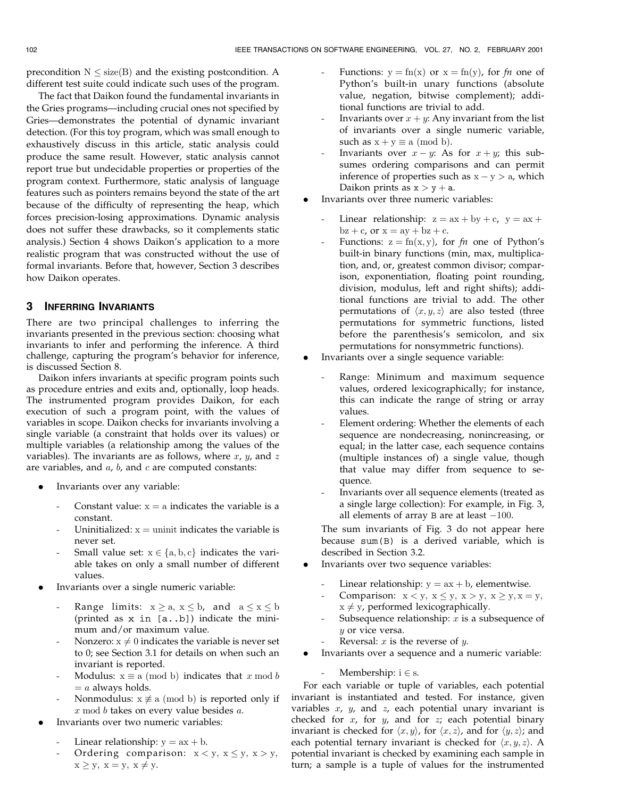precondition  $N \leq size(B)$  and the existing postcondition. A different test suite could indicate such uses of the program.

The fact that Daikon found the fundamental invariants in the Gries programs—including crucial ones not specified by Gries-demonstrates the potential of dynamic invariant detection. (For this toy program, which was small enough to exhaustively discuss in this article, static analysis could produce the same result. However, static analysis cannot report true but undecidable properties or properties of the program context. Furthermore, static analysis of language features such as pointers remains beyond the state of the art because of the difficulty of representing the heap, which forces precision-losing approximations. Dynamic analysis does not suffer these drawbacks, so it complements static analysis.) Section 4 shows Daikon's application to a more realistic program that was constructed without the use of formal invariants. Before that, however, Section 3 describes how Daikon operates.

# 3 INFERRING INVARIANTS

There are two principal challenges to inferring the invariants presented in the previous section: choosing what invariants to infer and performing the inference. A third challenge, capturing the program's behavior for inference, is discussed Section 8.

Daikon infers invariants at specific program points such as procedure entries and exits and, optionally, loop heads. The instrumented program provides Daikon, for each execution of such a program point, with the values of variables in scope. Daikon checks for invariants involving a single variable (a constraint that holds over its values) or multiple variables (a relationship among the values of the variables). The invariants are as follows, where  $x$ ,  $y$ , and  $z$ are variables, and  $a$ ,  $b$ , and  $c$  are computed constants:

- . Invariants over any variable:
	- Constant value:  $x = a$  indicates the variable is a constant.
	- Uninitialized:  $x =$  uninit indicates the variable is never set.
	- Small value set:  $x \in \{a, b, c\}$  indicates the variable takes on only a small number of different values.
- . Invariants over a single numeric variable:
	- Range limits:  $x \ge a$ ,  $x \le b$ , and  $a \le x \le b$ (printed as  $x$  in  $[a..b]$ ) indicate the minimum and/or maximum value.
	- Nonzero:  $x \neq 0$  indicates the variable is never set to 0; see Section 3.1 for details on when such an invariant is reported.
	- Modulus:  $x \equiv a \pmod{b}$  indicates that x mod b  $=$  a always holds.
	- Nonmodulus:  $x \not\equiv a \pmod{b}$  is reported only if x mod b takes on every value besides a.
- . Invariants over two numeric variables:
	- Linear relationship:  $y = ax + b$ .
	- Ordering comparison:  $x < y$ ,  $x \le y$ ,  $x > y$ ,  $x \geq y$ ,  $x = y$ ,  $x \neq y$ .
- Functions:  $y = fn(x)$  or  $x = fn(y)$ , for fn one of Python's built-in unary functions (absolute value, negation, bitwise complement); additional functions are trivial to add.
- Invariants over  $x + y$ : Any invariant from the list of invariants over a single numeric variable, such as  $x + y \equiv a \pmod{b}$ .
- Invariants over  $x y$ : As for  $x + y$ ; this subsumes ordering comparisons and can permit inference of properties such as  $x - y > a$ , which Daikon prints as  $x > y + a$ .
- . Invariants over three numeric variables:
	- Linear relationship:  $z = ax + by + c$ ,  $y = ax +$  $bz + c$ , or  $x = ay + bz + c$ .
	- Functions:  $z = f_n(x, y)$ , for fn one of Python's built-in binary functions (min, max, multiplication, and, or, greatest common divisor; comparison, exponentiation, floating point rounding, division, modulus, left and right shifts); additional functions are trivial to add. The other permutations of  $\langle x, y, z \rangle$  are also tested (three permutations for symmetric functions, listed before the parenthesis's semicolon, and six permutations for nonsymmetric functions).
- . Invariants over a single sequence variable:
	- Range: Minimum and maximum sequence values, ordered lexicographically; for instance, this can indicate the range of string or array values.
	- Element ordering: Whether the elements of each sequence are nondecreasing, nonincreasing, or equal; in the latter case, each sequence contains (multiple instances of) a single value, though that value may differ from sequence to sequence.
	- Invariants over all sequence elements (treated as a single large collection): For example, in Fig. 3, all elements of array B are at least  $-100$ .

The sum invariants of Fig. 3 do not appear here because sum(B) is a derived variable, which is described in Section 3.2.

- . Invariants over two sequence variables:
	- Linear relationship:  $y = ax + b$ , elementwise.
	- Comparison:  $x < y$ ,  $x \le y$ ,  $x > y$ ,  $x \ge y$ ,  $x = y$ ,  $x \neq y$ , performed lexicographically.
	- Subsequence relationship:  $x$  is a subsequence of y or vice versa.
	- Reversal:  $x$  is the reverse of  $y$ .
- . Invariants over a sequence and a numeric variable:
	- Membership:  $i \in S$ .

For each variable or tuple of variables, each potential invariant is instantiated and tested. For instance, given variables  $x$ ,  $y$ , and  $z$ , each potential unary invariant is checked for  $x$ , for  $y$ , and for  $z$ ; each potential binary invariant is checked for  $\langle x, y \rangle$ , for  $\langle x, z \rangle$ , and for  $\langle y, z \rangle$ ; and each potential ternary invariant is checked for  $\langle x, y, z \rangle$ . A potential invariant is checked by examining each sample in turn; a sample is a tuple of values for the instrumented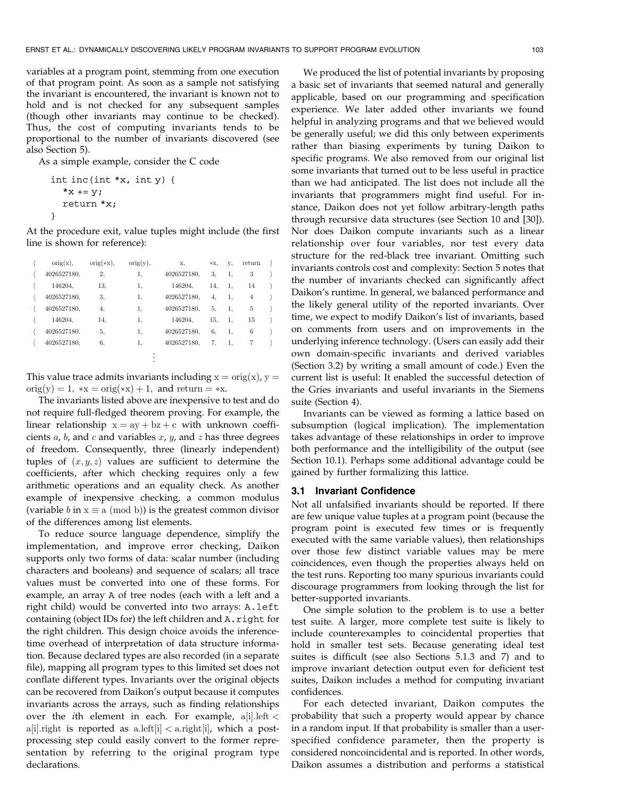variables at a program point, stemming from one execution of that program point. As soon as a sample not satisfying the invariant is encountered, the invariant is known not to hold and is not checked for any subsequent samples (though other invariants may continue to be checked). Thus, the cost of computing invariants tends to be proportional to the number of invariants discovered (see also Section 5).

As a simple example, consider the C code

```
int inc(int *x, int y) {
  *x += y;return *x;
}
```
At the procedure exit, value tuples might include (the first line is shown for reference):

| $\text{orig}(x),$ | $\text{orig}(*x),$ | $\text{orig}(y)$ , | x,          | $*X$ , | у, | return         |  |
|-------------------|--------------------|--------------------|-------------|--------|----|----------------|--|
| 4026527180.       | 2,                 | 1,                 | 4026527180. | 3.     | 1. | 3              |  |
| 146204.           | 13.                | 1,                 | 146204.     | 14,    | 1. | 14             |  |
| 4026527180.       | 3.                 | 1,                 | 4026527180. | 4,     | 1. | $\overline{4}$ |  |
| 4026527180.       | 4,                 | 1,                 | 4026527180. | 5,     | 1. | 5              |  |
| 146204.           | 14.                | 1,                 | 146204.     | 15,    | 1. | 15             |  |
| 4026527180.       | 5,                 | 1,                 | 4026527180. | 6,     | 1. | 6              |  |
| 4026527180.       | 6,                 | 1,                 | 4026527180, | 7.     | 1. | 7              |  |
|                   |                    | ٠                  |             |        |    |                |  |
|                   |                    |                    |             |        |    |                |  |

This value trace admits invariants including  $x = \text{orig}(x)$ ,  $y =$ orig(y) = 1,  $*x = \text{orig}(*x) + 1$ , and return = \*x.

The invariants listed above are inexpensive to test and do not require full-fledged theorem proving. For example, the linear relationship  $x = ay + bz + c$  with unknown coefficients  $a$ ,  $b$ , and  $c$  and variables  $x$ ,  $y$ , and  $z$  has three degrees of freedom. Consequently, three (linearly independent) tuples of  $(x, y, z)$  values are sufficient to determine the coefficients, after which checking requires only a few arithmetic operations and an equality check. As another example of inexpensive checking, a common modulus (variable b in  $x \equiv a \pmod{b}$ ) is the greatest common divisor of the differences among list elements.

To reduce source language dependence, simplify the implementation, and improve error checking, Daikon supports only two forms of data: scalar number (including characters and booleans) and sequence of scalars; all trace values must be converted into one of these forms. For example, an array A of tree nodes (each with a left and a right child) would be converted into two arrays: A.left containing (object IDs for) the left children and A.right for the right children. This design choice avoids the inferencetime overhead of interpretation of data structure information. Because declared types are also recorded (in a separate file), mapping all program types to this limited set does not conflate different types. Invariants over the original objects can be recovered from Daikon's output because it computes invariants across the arrays, such as finding relationships over the *i*th element in each. For example,  $a[i].left <$ a[i].right is reported as a.left[i]  $\langle$  a.right[i], which a postprocessing step could easily convert to the former representation by referring to the original program type declarations.

We produced the list of potential invariants by proposing a basic set of invariants that seemed natural and generally applicable, based on our programming and specification experience. We later added other invariants we found helpful in analyzing programs and that we believed would be generally useful; we did this only between experiments rather than biasing experiments by tuning Daikon to specific programs. We also removed from our original list some invariants that turned out to be less useful in practice than we had anticipated. The list does not include all the invariants that programmers might find useful. For instance, Daikon does not yet follow arbitrary-length paths through recursive data structures (see Section 10 and [30]). Nor does Daikon compute invariants such as a linear relationship over four variables, nor test every data structure for the red-black tree invariant. Omitting such invariants controls cost and complexity: Section 5 notes that the number of invariants checked can significantly affect Daikon's runtime. In general, we balanced performance and the likely general utility of the reported invariants. Over time, we expect to modify Daikon's list of invariants, based on comments from users and on improvements in the underlying inference technology. (Users can easily add their own domain-specific invariants and derived variables (Section 3.2) by writing a small amount of code.) Even the current list is useful: It enabled the successful detection of the Gries invariants and useful invariants in the Siemens suite (Section 4).

Invariants can be viewed as forming a lattice based on subsumption (logical implication). The implementation takes advantage of these relationships in order to improve both performance and the intelligibility of the output (see Section 10.1). Perhaps some additional advantage could be gained by further formalizing this lattice.

#### 3.1 Invariant Confidence

Not all unfalsified invariants should be reported. If there are few unique value tuples at a program point (because the program point is executed few times or is frequently executed with the same variable values), then relationships over those few distinct variable values may be mere coincidences, even though the properties always held on the test runs. Reporting too many spurious invariants could discourage programmers from looking through the list for better-supported invariants.

One simple solution to the problem is to use a better test suite. A larger, more complete test suite is likely to include counterexamples to coincidental properties that hold in smaller test sets. Because generating ideal test suites is difficult (see also Sections 5.1.3 and 7) and to improve invariant detection output even for deficient test suites, Daikon includes a method for computing invariant confidences.

For each detected invariant, Daikon computes the probability that such a property would appear by chance in a random input. If that probability is smaller than a userspecified confidence parameter, then the property is considered noncoincidental and is reported. In other words, Daikon assumes a distribution and performs a statistical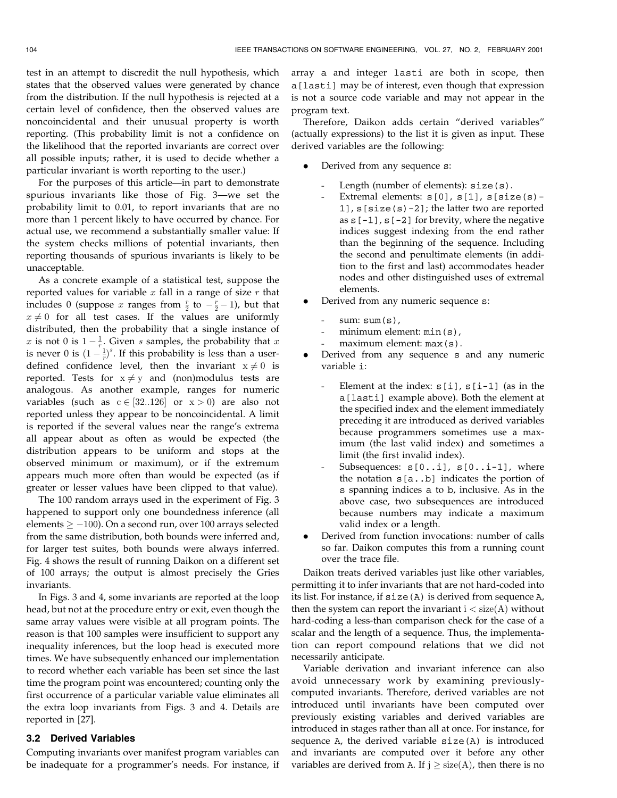test in an attempt to discredit the null hypothesis, which states that the observed values were generated by chance from the distribution. If the null hypothesis is rejected at a certain level of confidence, then the observed values are noncoincidental and their unusual property is worth reporting. (This probability limit is not a confidence on the likelihood that the reported invariants are correct over all possible inputs; rather, it is used to decide whether a particular invariant is worth reporting to the user.)

For the purposes of this article—in part to demonstrate spurious invariants like those of Fig.  $3$ —we set the probability limit to 0.01, to report invariants that are no more than 1 percent likely to have occurred by chance. For actual use, we recommend a substantially smaller value: If the system checks millions of potential invariants, then reporting thousands of spurious invariants is likely to be unacceptable.

As a concrete example of a statistical test, suppose the reported values for variable  $x$  fall in a range of size  $r$  that includes 0 (suppose x ranges from  $\frac{r}{2}$  to  $-\frac{r}{2} - 1$ ), but that  $x \neq 0$  for all test cases. If the values are uniformly distributed, then the probability that a single instance of x is not 0 is  $1 - \frac{1}{r}$ . Given s samples, the probability that x is never 0 is  $(1 - \frac{1}{r})^s$ . If this probability is less than a userdefined confidence level, then the invariant  $x \neq 0$  is reported. Tests for  $x \neq y$  and (non)modulus tests are analogous. As another example, ranges for numeric variables (such as  $c \in [32..126]$  or  $x > 0$ ) are also not reported unless they appear to be noncoincidental. A limit is reported if the several values near the range's extrema all appear about as often as would be expected (the distribution appears to be uniform and stops at the observed minimum or maximum), or if the extremum appears much more often than would be expected (as if greater or lesser values have been clipped to that value).

The 100 random arrays used in the experiment of Fig. 3 happened to support only one boundedness inference (all elements  $\geq -100$ ). On a second run, over 100 arrays selected from the same distribution, both bounds were inferred and, for larger test suites, both bounds were always inferred. Fig. 4 shows the result of running Daikon on a different set of 100 arrays; the output is almost precisely the Gries invariants.

In Figs. 3 and 4, some invariants are reported at the loop head, but not at the procedure entry or exit, even though the same array values were visible at all program points. The reason is that 100 samples were insufficient to support any inequality inferences, but the loop head is executed more times. We have subsequently enhanced our implementation to record whether each variable has been set since the last time the program point was encountered; counting only the first occurrence of a particular variable value eliminates all the extra loop invariants from Figs. 3 and 4. Details are reported in [27].

# 3.2 Derived Variables

Computing invariants over manifest program variables can be inadequate for a programmer's needs. For instance, if array a and integer lasti are both in scope, then a[lasti] may be of interest, even though that expression is not a source code variable and may not appear in the program text.

Therefore, Daikon adds certain "derived variables" (actually expressions) to the list it is given as input. These derived variables are the following:

- . Derived from any sequence s:
	- Length (number of elements):  $size(s)$ .
	- Extremal elements:  $s[0]$ ,  $s[1]$ ,  $s[size(s)$  -1], s[size(s)-2]; the latter two are reported as  $s[-1]$ ,  $s[-2]$  for brevity, where the negative indices suggest indexing from the end rather than the beginning of the sequence. Including the second and penultimate elements (in addition to the first and last) accommodates header nodes and other distinguished uses of extremal elements.
	- . Derived from any numeric sequence s:
		- sum:  $sum(s)$ ,
		- minimum element: min(s),
		- maximum element: max(s).
	- . Derived from any sequence s and any numeric variable i:
		- Element at the index:  $s[i], s[i-1]$  (as in the a[lasti] example above). Both the element at the specified index and the element immediately preceding it are introduced as derived variables because programmers sometimes use a maximum (the last valid index) and sometimes a limit (the first invalid index).
		- Subsequences:  $s[0..i], s[0..i-1],$  where the notation s[a..b] indicates the portion of s spanning indices a to b, inclusive. As in the above case, two subsequences are introduced because numbers may indicate a maximum valid index or a length.
- . Derived from function invocations: number of calls so far. Daikon computes this from a running count over the trace file.

Daikon treats derived variables just like other variables, permitting it to infer invariants that are not hard-coded into its list. For instance, if size(A) is derived from sequence A, then the system can report the invariant  $i < size(A)$  without hard-coding a less-than comparison check for the case of a scalar and the length of a sequence. Thus, the implementation can report compound relations that we did not necessarily anticipate.

Variable derivation and invariant inference can also avoid unnecessary work by examining previouslycomputed invariants. Therefore, derived variables are not introduced until invariants have been computed over previously existing variables and derived variables are introduced in stages rather than all at once. For instance, for sequence A, the derived variable size(A) is introduced and invariants are computed over it before any other variables are derived from A. If  $j \geq size(A)$ , then there is no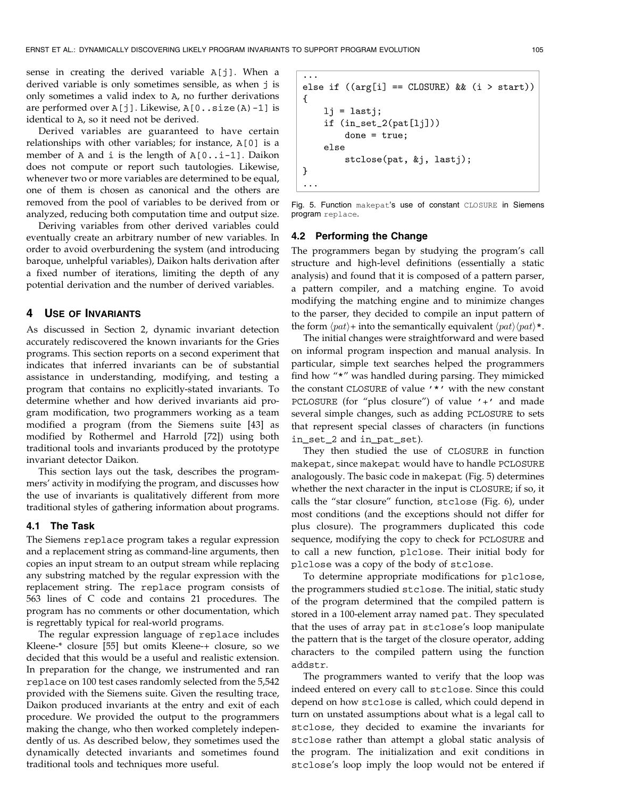sense in creating the derived variable A[j]. When a derived variable is only sometimes sensible, as when j is only sometimes a valid index to A, no further derivations are performed over A[j]. Likewise, A[0..size(A)-1] is identical to A, so it need not be derived.

Derived variables are guaranteed to have certain relationships with other variables; for instance, A[0] is a member of A and i is the length of A[0..i-1]. Daikon does not compute or report such tautologies. Likewise, whenever two or more variables are determined to be equal, one of them is chosen as canonical and the others are removed from the pool of variables to be derived from or analyzed, reducing both computation time and output size.

Deriving variables from other derived variables could eventually create an arbitrary number of new variables. In order to avoid overburdening the system (and introducing baroque, unhelpful variables), Daikon halts derivation after a fixed number of iterations, limiting the depth of any potential derivation and the number of derived variables.

# 4 USE OF INVARIANTS

As discussed in Section 2, dynamic invariant detection accurately rediscovered the known invariants for the Gries programs. This section reports on a second experiment that indicates that inferred invariants can be of substantial assistance in understanding, modifying, and testing a program that contains no explicitly-stated invariants. To determine whether and how derived invariants aid program modification, two programmers working as a team modified a program (from the Siemens suite [43] as modified by Rothermel and Harrold [72]) using both traditional tools and invariants produced by the prototype invariant detector Daikon.

This section lays out the task, describes the programmers' activity in modifying the program, and discusses how the use of invariants is qualitatively different from more traditional styles of gathering information about programs.

## 4.1 The Task

The Siemens replace program takes a regular expression and a replacement string as command-line arguments, then copies an input stream to an output stream while replacing any substring matched by the regular expression with the replacement string. The replace program consists of 563 lines of C code and contains 21 procedures. The program has no comments or other documentation, which is regrettably typical for real-world programs.

The regular expression language of replace includes Kleene-\* closure [55] but omits Kleene-+ closure, so we decided that this would be a useful and realistic extension. In preparation for the change, we instrumented and ran replace on 100 test cases randomly selected from the 5,542 provided with the Siemens suite. Given the resulting trace, Daikon produced invariants at the entry and exit of each procedure. We provided the output to the programmers making the change, who then worked completely independently of us. As described below, they sometimes used the dynamically detected invariants and sometimes found traditional tools and techniques more useful.

```
\ldotselse if ((arg[i] == CDOSURE) && (i > start))ſ
    1j = lastj;if (in_set_2(path[i]))
        done = true;else
        stclose(pat, &j, lastj);
\mathcal{F}\ddots
```
Fig. 5. Function makepat's use of constant CLOSURE in Siemens program replace.

## 4.2 Performing the Change

The programmers began by studying the program's call structure and high-level definitions (essentially a static analysis) and found that it is composed of a pattern parser, a pattern compiler, and a matching engine. To avoid modifying the matching engine and to minimize changes to the parser, they decided to compile an input pattern of the form  $\langle pat \rangle$ + into the semantically equivalent  $\langle pat \rangle$  $\langle pat \rangle$ \*.

The initial changes were straightforward and were based on informal program inspection and manual analysis. In particular, simple text searches helped the programmers find how "\*" was handled during parsing. They mimicked the constant CLOSURE of value '\*' with the new constant PCLOSURE (for "plus closure") of value '+' and made several simple changes, such as adding PCLOSURE to sets that represent special classes of characters (in functions in\_set\_2 and in\_pat\_set).

They then studied the use of CLOSURE in function makepat, since makepat would have to handle PCLOSURE analogously. The basic code in makepat (Fig. 5) determines whether the next character in the input is CLOSURE; if so, it calls the "star closure" function, stclose (Fig. 6), under most conditions (and the exceptions should not differ for plus closure). The programmers duplicated this code sequence, modifying the copy to check for PCLOSURE and to call a new function, plclose. Their initial body for plclose was a copy of the body of stclose.

To determine appropriate modifications for plclose, the programmers studied stclose. The initial, static study of the program determined that the compiled pattern is stored in a 100-element array named pat. They speculated that the uses of array pat in stclose's loop manipulate the pattern that is the target of the closure operator, adding characters to the compiled pattern using the function addstr.

The programmers wanted to verify that the loop was indeed entered on every call to stclose. Since this could depend on how stclose is called, which could depend in turn on unstated assumptions about what is a legal call to stclose, they decided to examine the invariants for stclose rather than attempt a global static analysis of the program. The initialization and exit conditions in stclose's loop imply the loop would not be entered if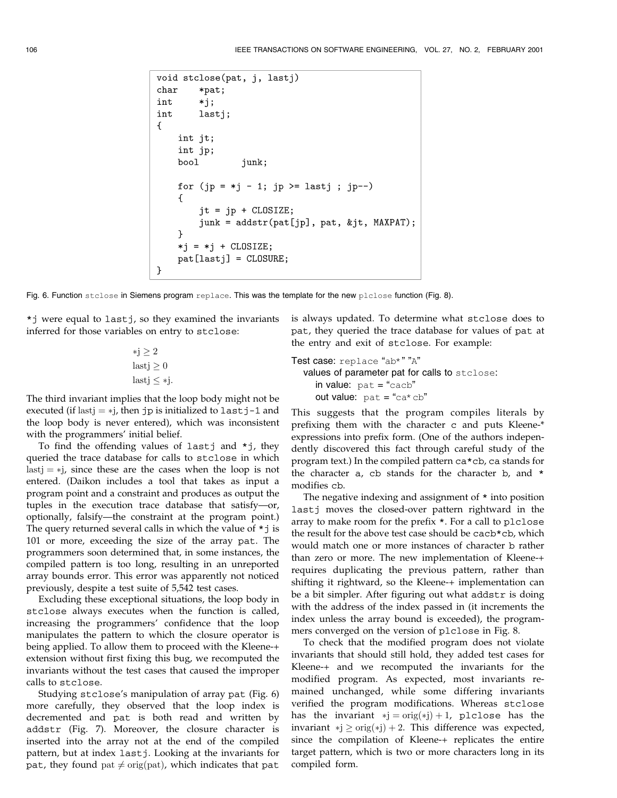```
void stclose(pat, j, lastj)
char*pat;
int
         *j;int
         lastj;
\mathcal{L}int jt;
    int jp;
    bool
                  junk;
    for (jp = *j - 1; jp \geq lastj ; jp--)\mathcal{L}_{\mathcal{L}}jt = jp + CLOSIZE;junk = addstr(path[jp], pat, &jt, MAXPATH);*j = *j + CLASSIZE;pat[lastj] = CLOSURE;}
```
Fig. 6. Function stelose in Siemens program replace. This was the template for the new plclose function (Fig. 8).

\*j were equal to lastj, so they examined the invariants inferred for those variables on entry to stclose:

> $*$ j > 2  $lastj \geq 0$  $lasti \leq *i$ .

The third invariant implies that the loop body might not be executed (if lastj  $=$  \*j, then jp is initialized to lastj-1 and the loop body is never entered), which was inconsistent with the programmers' initial belief.

To find the offending values of lastj and  $*$ j, they queried the trace database for calls to stclose in which lastj  $= *j$ , since these are the cases when the loop is not entered. (Daikon includes a tool that takes as input a program point and a constraint and produces as output the tuples in the execution trace database that satisfy $-$ or, optionally, falsify—the constraint at the program point.) The query returned several calls in which the value of  $\star$ j is 101 or more, exceeding the size of the array pat. The programmers soon determined that, in some instances, the compiled pattern is too long, resulting in an unreported array bounds error. This error was apparently not noticed previously, despite a test suite of 5,542 test cases.

Excluding these exceptional situations, the loop body in stclose always executes when the function is called, increasing the programmers' confidence that the loop manipulates the pattern to which the closure operator is being applied. To allow them to proceed with the Kleene-+ extension without first fixing this bug, we recomputed the invariants without the test cases that caused the improper calls to stclose.

Studying stclose's manipulation of array pat (Fig. 6) more carefully, they observed that the loop index is decremented and pat is both read and written by addstr (Fig. 7). Moreover, the closure character is inserted into the array not at the end of the compiled pattern, but at index lastj. Looking at the invariants for pat, they found pat  $\neq$  orig(pat), which indicates that pat

is always updated. To determine what stclose does to pat, they queried the trace database for values of pat at the entry and exit of stclose. For example:

```
Test case: replace "ab*" "A"
  values of parameter pat for calls to stclose:
     in value: pat = "cacb"out value: pat = "ca*cb"
```
This suggests that the program compiles literals by prefixing them with the character c and puts Kleene-\* expressions into prefix form. (One of the authors independently discovered this fact through careful study of the program text.) In the compiled pattern ca\*cb, ca stands for the character a, cb stands for the character b, and \* modifies cb.

The negative indexing and assignment of \* into position lastj moves the closed-over pattern rightward in the array to make room for the prefix \*. For a call to plclose the result for the above test case should be cacb\*cb, which would match one or more instances of character b rather than zero or more. The new implementation of Kleene-+ requires duplicating the previous pattern, rather than shifting it rightward, so the Kleene-+ implementation can be a bit simpler. After figuring out what addstr is doing with the address of the index passed in (it increments the index unless the array bound is exceeded), the programmers converged on the version of plclose in Fig. 8.

To check that the modified program does not violate invariants that should still hold, they added test cases for Kleene-+ and we recomputed the invariants for the modified program. As expected, most invariants remained unchanged, while some differing invariants verified the program modifications. Whereas stclose has the invariant  $*j = orig(*j) + 1$ , plclose has the invariant  $\ast j \geq \text{orig}(\ast j) + 2$ . This difference was expected, since the compilation of Kleene-+ replicates the entire target pattern, which is two or more characters long in its compiled form.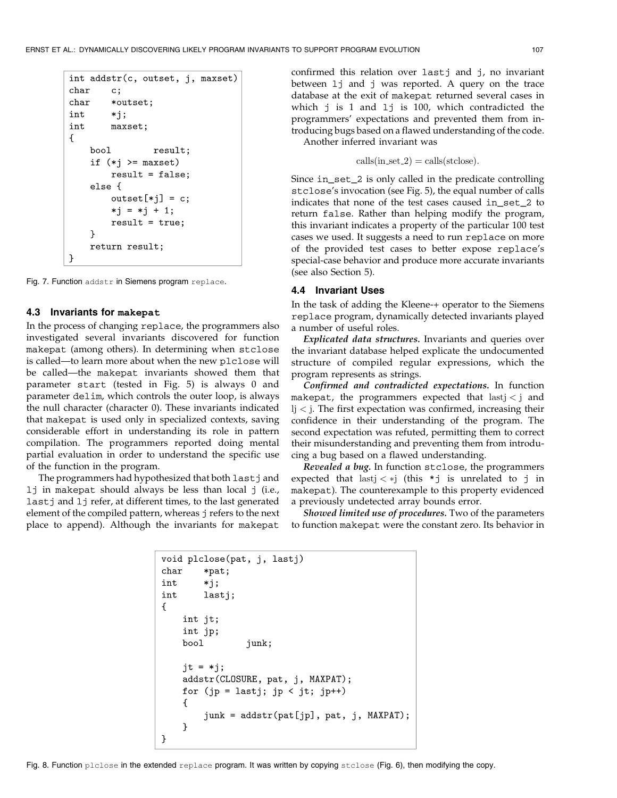```
int addstr(c, outset, j, maxset)
char\mathbf{c}:
char
         *outset;
int
          *j;
int.maxset;
\mathcal{L}_{\mathcal{L}}bool
                   result;
    if (*j \geq maxset)result = false;else {
         outset[*j] = c;*j = *j + 1;result = true;}
    return result;
ł
```
Fig. 7. Function addstr in Siemens program replace.

# 4.3 Invariants for makepat

In the process of changing replace, the programmers also investigated several invariants discovered for function makepat (among others). In determining when stclose is called—to learn more about when the new plclose will be called—the makepat invariants showed them that parameter start (tested in Fig. 5) is always 0 and parameter delim, which controls the outer loop, is always the null character (character 0). These invariants indicated that makepat is used only in specialized contexts, saving considerable effort in understanding its role in pattern compilation. The programmers reported doing mental partial evaluation in order to understand the specific use of the function in the program.

The programmers had hypothesized that both lastj and lj in makepat should always be less than local j (i.e., lastj and lj refer, at different times, to the last generated element of the compiled pattern, whereas j refers to the next place to append). Although the invariants for makepat

confirmed this relation over lastj and j, no invariant between lj and j was reported. A query on the trace database at the exit of makepat returned several cases in which j is 1 and lj is 100, which contradicted the programmers' expectations and prevented them from introducing bugs based on a flawed understanding of the code. Another inferred invariant was

 $\text{cells}(\text{in} \text{ set.2}) = \text{cells}(\text{stclose}).$ 

Since in\_set\_2 is only called in the predicate controlling stclose's invocation (see Fig. 5), the equal number of calls indicates that none of the test cases caused in\_set\_2 to return false. Rather than helping modify the program, this invariant indicates a property of the particular 100 test cases we used. It suggests a need to run replace on more of the provided test cases to better expose replace's special-case behavior and produce more accurate invariants (see also Section 5).

# 4.4 Invariant Uses

In the task of adding the Kleene-+ operator to the Siemens replace program, dynamically detected invariants played a number of useful roles.

Explicated data structures. Invariants and queries over the invariant database helped explicate the undocumented structure of compiled regular expressions, which the program represents as strings.

Confirmed and contradicted expectations. In function makepat, the programmers expected that  $lasti < j$  and  $lj < j$ . The first expectation was confirmed, increasing their confidence in their understanding of the program. The second expectation was refuted, permitting them to correct their misunderstanding and preventing them from introducing a bug based on a flawed understanding.

Revealed a bug. In function stclose, the programmers expected that last  $j \lt j$  (this  $\star j$  is unrelated to j in makepat). The counterexample to this property evidenced a previously undetected array bounds error.

Showed limited use of procedures. Two of the parameters to function makepat were the constant zero. Its behavior in

```
void plclose(pat, j, lastj)
char*pat;
int
        *j;int
        lastj;
€
    int jt;
    int jp;
    bool
                junk;
    jt = *j;addstr(CLOSURE, pat, j, MAXPAT);
    for (jp = lastj; jp < jt; jp++)€
        junk = addstr(path[jp], pat, j, MAXPATH);}
}
```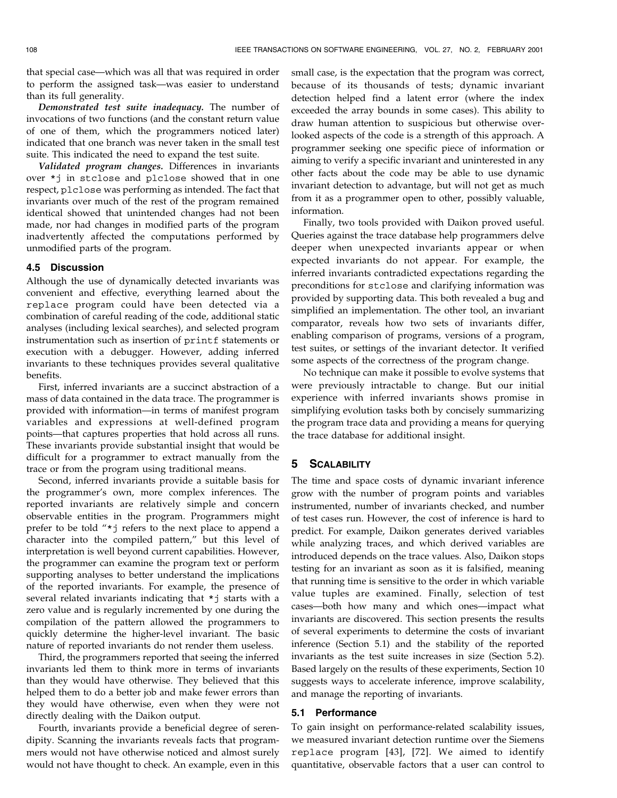that special case—which was all that was required in order to perform the assigned task—was easier to understand than its full generality.

Demonstrated test suite inadequacy. The number of invocations of two functions (and the constant return value of one of them, which the programmers noticed later) indicated that one branch was never taken in the small test suite. This indicated the need to expand the test suite.

Validated program changes. Differences in invariants over \*j in stclose and plclose showed that in one respect, plclose was performing as intended. The fact that invariants over much of the rest of the program remained identical showed that unintended changes had not been made, nor had changes in modified parts of the program inadvertently affected the computations performed by unmodified parts of the program.

# 4.5 Discussion

Although the use of dynamically detected invariants was convenient and effective, everything learned about the replace program could have been detected via a combination of careful reading of the code, additional static analyses (including lexical searches), and selected program instrumentation such as insertion of printf statements or execution with a debugger. However, adding inferred invariants to these techniques provides several qualitative benefits.

First, inferred invariants are a succinct abstraction of a mass of data contained in the data trace. The programmer is provided with information-in terms of manifest program variables and expressions at well-defined program points—that captures properties that hold across all runs. These invariants provide substantial insight that would be difficult for a programmer to extract manually from the trace or from the program using traditional means.

Second, inferred invariants provide a suitable basis for the programmer's own, more complex inferences. The reported invariants are relatively simple and concern observable entities in the program. Programmers might prefer to be told ª\*j refers to the next place to append a character into the compiled pattern," but this level of interpretation is well beyond current capabilities. However, the programmer can examine the program text or perform supporting analyses to better understand the implications of the reported invariants. For example, the presence of several related invariants indicating that \*j starts with a zero value and is regularly incremented by one during the compilation of the pattern allowed the programmers to quickly determine the higher-level invariant. The basic nature of reported invariants do not render them useless.

Third, the programmers reported that seeing the inferred invariants led them to think more in terms of invariants than they would have otherwise. They believed that this helped them to do a better job and make fewer errors than they would have otherwise, even when they were not directly dealing with the Daikon output.

Fourth, invariants provide a beneficial degree of serendipity. Scanning the invariants reveals facts that programmers would not have otherwise noticed and almost surely would not have thought to check. An example, even in this small case, is the expectation that the program was correct, because of its thousands of tests; dynamic invariant detection helped find a latent error (where the index exceeded the array bounds in some cases). This ability to draw human attention to suspicious but otherwise overlooked aspects of the code is a strength of this approach. A programmer seeking one specific piece of information or aiming to verify a specific invariant and uninterested in any other facts about the code may be able to use dynamic invariant detection to advantage, but will not get as much from it as a programmer open to other, possibly valuable, information.

Finally, two tools provided with Daikon proved useful. Queries against the trace database help programmers delve deeper when unexpected invariants appear or when expected invariants do not appear. For example, the inferred invariants contradicted expectations regarding the preconditions for stclose and clarifying information was provided by supporting data. This both revealed a bug and simplified an implementation. The other tool, an invariant comparator, reveals how two sets of invariants differ, enabling comparison of programs, versions of a program, test suites, or settings of the invariant detector. It verified some aspects of the correctness of the program change.

No technique can make it possible to evolve systems that were previously intractable to change. But our initial experience with inferred invariants shows promise in simplifying evolution tasks both by concisely summarizing the program trace data and providing a means for querying the trace database for additional insight.

# 5 SCALABILITY

The time and space costs of dynamic invariant inference grow with the number of program points and variables instrumented, number of invariants checked, and number of test cases run. However, the cost of inference is hard to predict. For example, Daikon generates derived variables while analyzing traces, and which derived variables are introduced depends on the trace values. Also, Daikon stops testing for an invariant as soon as it is falsified, meaning that running time is sensitive to the order in which variable value tuples are examined. Finally, selection of test cases—both how many and which ones—impact what invariants are discovered. This section presents the results of several experiments to determine the costs of invariant inference (Section 5.1) and the stability of the reported invariants as the test suite increases in size (Section 5.2). Based largely on the results of these experiments, Section 10 suggests ways to accelerate inference, improve scalability, and manage the reporting of invariants.

## 5.1 Performance

To gain insight on performance-related scalability issues, we measured invariant detection runtime over the Siemens replace program [43], [72]. We aimed to identify quantitative, observable factors that a user can control to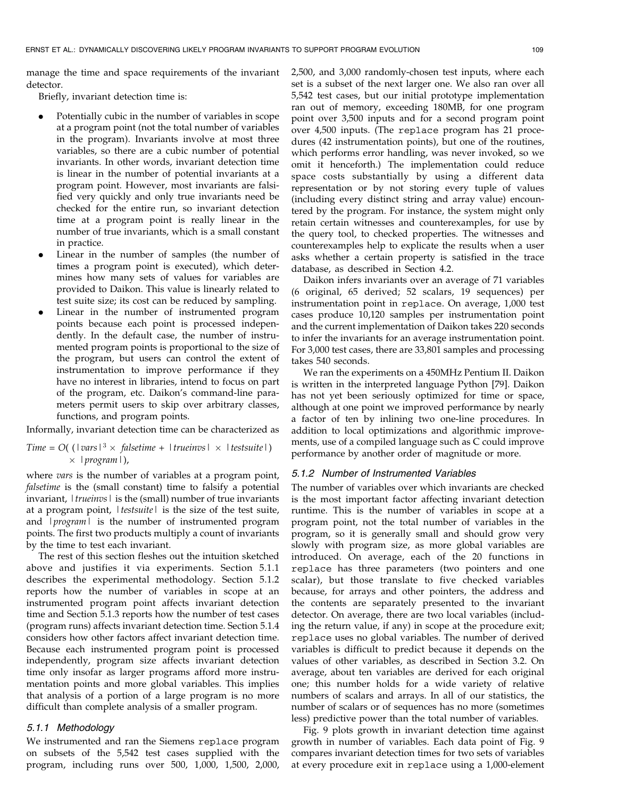manage the time and space requirements of the invariant detector.

Briefly, invariant detection time is:

- . Potentially cubic in the number of variables in scope at a program point (not the total number of variables in the program). Invariants involve at most three variables, so there are a cubic number of potential invariants. In other words, invariant detection time is linear in the number of potential invariants at a program point. However, most invariants are falsified very quickly and only true invariants need be checked for the entire run, so invariant detection time at a program point is really linear in the number of true invariants, which is a small constant in practice.
- . Linear in the number of samples (the number of times a program point is executed), which determines how many sets of values for variables are provided to Daikon. This value is linearly related to test suite size; its cost can be reduced by sampling.
- . Linear in the number of instrumented program points because each point is processed independently. In the default case, the number of instrumented program points is proportional to the size of the program, but users can control the extent of instrumentation to improve performance if they have no interest in libraries, intend to focus on part of the program, etc. Daikon's command-line parameters permit users to skip over arbitrary classes, functions, and program points.

Informally, invariant detection time can be characterized as

$$
Time = O((\text{1vars}^3 \times \text{falsetime} + \text{1trueinvs}^1 \times \text{1test suite}^1)) \times \text{1program}^1)
$$

where vars is the number of variables at a program point, falsetime is the (small constant) time to falsify a potential invariant, Itrueinvs lis the (small) number of true invariants at a program point, *| testsuite* | is the size of the test suite, and  $|program|$  is the number of instrumented program points. The first two products multiply a count of invariants by the time to test each invariant.

The rest of this section fleshes out the intuition sketched above and justifies it via experiments. Section 5.1.1 describes the experimental methodology. Section 5.1.2 reports how the number of variables in scope at an instrumented program point affects invariant detection time and Section 5.1.3 reports how the number of test cases (program runs) affects invariant detection time. Section 5.1.4 considers how other factors affect invariant detection time. Because each instrumented program point is processed independently, program size affects invariant detection time only insofar as larger programs afford more instrumentation points and more global variables. This implies that analysis of a portion of a large program is no more difficult than complete analysis of a smaller program.

#### 5.1.1 Methodology

We instrumented and ran the Siemens replace program on subsets of the 5,542 test cases supplied with the program, including runs over 500, 1,000, 1,500, 2,000, 2,500, and 3,000 randomly-chosen test inputs, where each set is a subset of the next larger one. We also ran over all 5,542 test cases, but our initial prototype implementation ran out of memory, exceeding 180MB, for one program point over 3,500 inputs and for a second program point over 4,500 inputs. (The replace program has 21 procedures (42 instrumentation points), but one of the routines, which performs error handling, was never invoked, so we omit it henceforth.) The implementation could reduce space costs substantially by using a different data representation or by not storing every tuple of values (including every distinct string and array value) encountered by the program. For instance, the system might only retain certain witnesses and counterexamples, for use by the query tool, to checked properties. The witnesses and counterexamples help to explicate the results when a user asks whether a certain property is satisfied in the trace database, as described in Section 4.2.

Daikon infers invariants over an average of 71 variables (6 original, 65 derived; 52 scalars, 19 sequences) per instrumentation point in replace. On average, 1,000 test cases produce 10,120 samples per instrumentation point and the current implementation of Daikon takes 220 seconds to infer the invariants for an average instrumentation point. For 3,000 test cases, there are 33,801 samples and processing takes 540 seconds.

We ran the experiments on a 450MHz Pentium II. Daikon is written in the interpreted language Python [79]. Daikon has not yet been seriously optimized for time or space, although at one point we improved performance by nearly a factor of ten by inlining two one-line procedures. In addition to local optimizations and algorithmic improvements, use of a compiled language such as C could improve performance by another order of magnitude or more.

## 5.1.2 Number of Instrumented Variables

The number of variables over which invariants are checked is the most important factor affecting invariant detection runtime. This is the number of variables in scope at a program point, not the total number of variables in the program, so it is generally small and should grow very slowly with program size, as more global variables are introduced. On average, each of the 20 functions in replace has three parameters (two pointers and one scalar), but those translate to five checked variables because, for arrays and other pointers, the address and the contents are separately presented to the invariant detector. On average, there are two local variables (including the return value, if any) in scope at the procedure exit; replace uses no global variables. The number of derived variables is difficult to predict because it depends on the values of other variables, as described in Section 3.2. On average, about ten variables are derived for each original one; this number holds for a wide variety of relative numbers of scalars and arrays. In all of our statistics, the number of scalars or of sequences has no more (sometimes less) predictive power than the total number of variables.

Fig. 9 plots growth in invariant detection time against growth in number of variables. Each data point of Fig. 9 compares invariant detection times for two sets of variables at every procedure exit in replace using a 1,000-element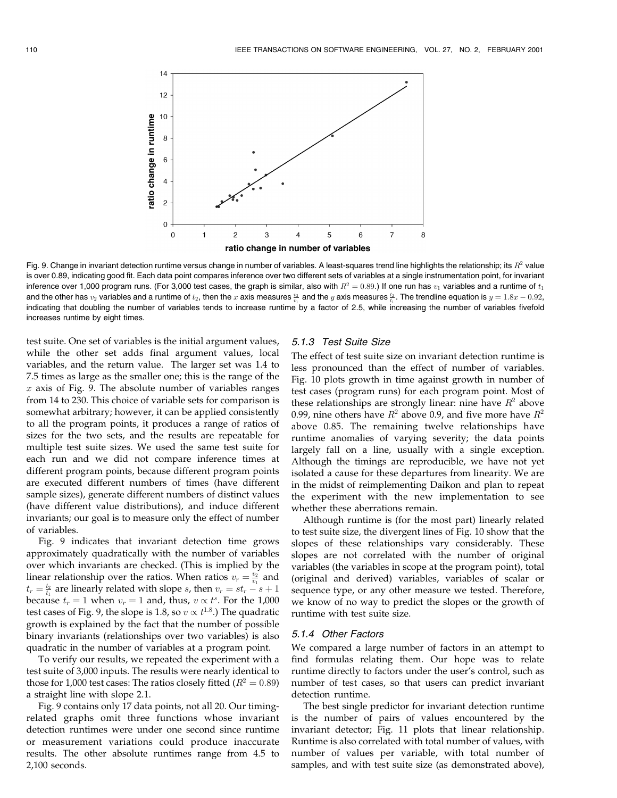

Fig. 9. Change in invariant detection runtime versus change in number of variables. A least-squares trend line highlights the relationship; its  $R^2$  value is over 0.89, indicating good fit. Each data point compares inference over two different sets of variables at a single instrumentation point, for invariant inference over 1,000 program runs. (For 3,000 test cases, the graph is similar, also with  $R^2 = 0.89$ .) If one run has  $v_1$  variables and a runtime of  $t_1$ and the other has  $v_2$  variables and a runtime of  $t_2$ , then the  $x$  axis measures  $\frac{v_2}{v_1}$  and the  $y$  axis measures  $\frac{t_2}{t_1}.$  The trendline equation is  $y=1.8x-0.92,$ indicating that doubling the number of variables tends to increase runtime by a factor of 2.5, while increasing the number of variables fivefold increases runtime by eight times.

test suite. One set of variables is the initial argument values, while the other set adds final argument values, local variables, and the return value. The larger set was 1.4 to 7.5 times as large as the smaller one; this is the range of the  $x$  axis of Fig. 9. The absolute number of variables ranges from 14 to 230. This choice of variable sets for comparison is somewhat arbitrary; however, it can be applied consistently to all the program points, it produces a range of ratios of sizes for the two sets, and the results are repeatable for multiple test suite sizes. We used the same test suite for each run and we did not compare inference times at different program points, because different program points are executed different numbers of times (have different sample sizes), generate different numbers of distinct values (have different value distributions), and induce different invariants; our goal is to measure only the effect of number of variables.

Fig. 9 indicates that invariant detection time grows approximately quadratically with the number of variables over which invariants are checked. (This is implied by the linear relationship over the ratios. When ratios  $v_r = \frac{v_2}{v_1}$  and  $t_r = \frac{t_2}{t_1}$  are linearly related with slope s, then  $v_r = st_r - s + 1$ because  $t_r = 1$  when  $v_r = 1$  and, thus,  $v \propto t^s$ . For the 1,000 test cases of Fig. 9, the slope is 1.8, so  $v \propto t^{1.8}$ .) The quadratic growth is explained by the fact that the number of possible binary invariants (relationships over two variables) is also quadratic in the number of variables at a program point.

To verify our results, we repeated the experiment with a test suite of 3,000 inputs. The results were nearly identical to those for 1,000 test cases: The ratios closely fitted ( $R^2 = 0.89$ ) a straight line with slope 2.1.

Fig. 9 contains only 17 data points, not all 20. Our timingrelated graphs omit three functions whose invariant detection runtimes were under one second since runtime or measurement variations could produce inaccurate results. The other absolute runtimes range from 4.5 to 2,100 seconds.

# 5.1.3 Test Suite Size

The effect of test suite size on invariant detection runtime is less pronounced than the effect of number of variables. Fig. 10 plots growth in time against growth in number of test cases (program runs) for each program point. Most of these relationships are strongly linear: nine have  $R^2$  above 0.99, nine others have  $R^2$  above 0.9, and five more have  $R^2$ above 0.85. The remaining twelve relationships have runtime anomalies of varying severity; the data points largely fall on a line, usually with a single exception. Although the timings are reproducible, we have not yet isolated a cause for these departures from linearity. We are in the midst of reimplementing Daikon and plan to repeat the experiment with the new implementation to see whether these aberrations remain.

Although runtime is (for the most part) linearly related to test suite size, the divergent lines of Fig. 10 show that the slopes of these relationships vary considerably. These slopes are not correlated with the number of original variables (the variables in scope at the program point), total (original and derived) variables, variables of scalar or sequence type, or any other measure we tested. Therefore, we know of no way to predict the slopes or the growth of runtime with test suite size.

#### 5.1.4 Other Factors

We compared a large number of factors in an attempt to find formulas relating them. Our hope was to relate runtime directly to factors under the user's control, such as number of test cases, so that users can predict invariant detection runtime.

The best single predictor for invariant detection runtime is the number of pairs of values encountered by the invariant detector; Fig. 11 plots that linear relationship. Runtime is also correlated with total number of values, with number of values per variable, with total number of samples, and with test suite size (as demonstrated above),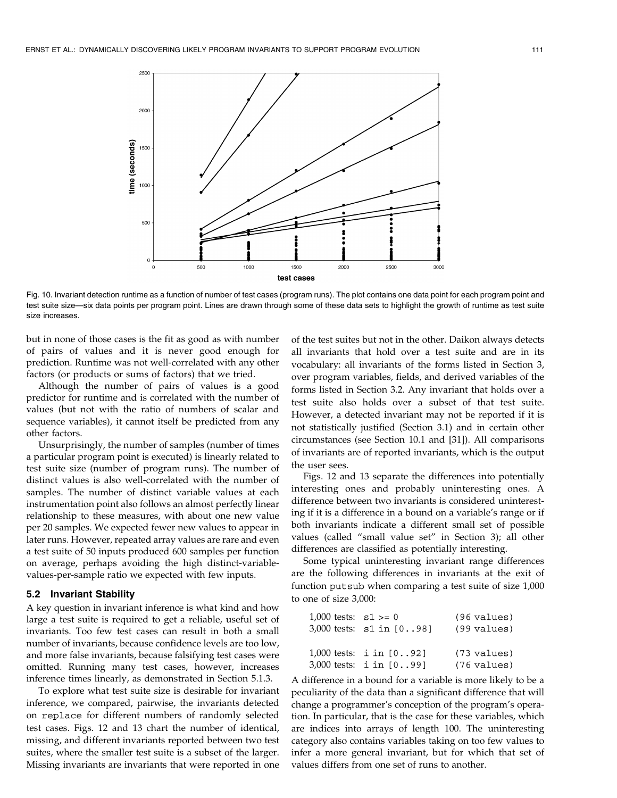

Fig. 10. Invariant detection runtime as a function of number of test cases (program runs). The plot contains one data point for each program point and test suite size—six data points per program point. Lines are drawn through some of these data sets to highlight the growth of runtime as test suite size increases.

but in none of those cases is the fit as good as with number of pairs of values and it is never good enough for prediction. Runtime was not well-correlated with any other factors (or products or sums of factors) that we tried.

Although the number of pairs of values is a good predictor for runtime and is correlated with the number of values (but not with the ratio of numbers of scalar and sequence variables), it cannot itself be predicted from any other factors.

Unsurprisingly, the number of samples (number of times a particular program point is executed) is linearly related to test suite size (number of program runs). The number of distinct values is also well-correlated with the number of samples. The number of distinct variable values at each instrumentation point also follows an almost perfectly linear relationship to these measures, with about one new value per 20 samples. We expected fewer new values to appear in later runs. However, repeated array values are rare and even a test suite of 50 inputs produced 600 samples per function on average, perhaps avoiding the high distinct-variablevalues-per-sample ratio we expected with few inputs.

#### 5.2 Invariant Stability

A key question in invariant inference is what kind and how large a test suite is required to get a reliable, useful set of invariants. Too few test cases can result in both a small number of invariants, because confidence levels are too low, and more false invariants, because falsifying test cases were omitted. Running many test cases, however, increases inference times linearly, as demonstrated in Section 5.1.3.

To explore what test suite size is desirable for invariant inference, we compared, pairwise, the invariants detected on replace for different numbers of randomly selected test cases. Figs. 12 and 13 chart the number of identical, missing, and different invariants reported between two test suites, where the smaller test suite is a subset of the larger. Missing invariants are invariants that were reported in one

of the test suites but not in the other. Daikon always detects all invariants that hold over a test suite and are in its vocabulary: all invariants of the forms listed in Section 3, over program variables, fields, and derived variables of the forms listed in Section 3.2. Any invariant that holds over a test suite also holds over a subset of that test suite. However, a detected invariant may not be reported if it is not statistically justified (Section 3.1) and in certain other circumstances (see Section 10.1 and [31]). All comparisons of invariants are of reported invariants, which is the output the user sees.

Figs. 12 and 13 separate the differences into potentially interesting ones and probably uninteresting ones. A difference between two invariants is considered uninteresting if it is a difference in a bound on a variable's range or if both invariants indicate a different small set of possible values (called "small value set" in Section 3); all other differences are classified as potentially interesting.

Some typical uninteresting invariant range differences are the following differences in invariants at the exit of function putsub when comparing a test suite of size 1,000 to one of size 3,000:

| 1,000 tests: $s1 >= 0$ | 3,000 tests: s1 in [098]                               | $(96 \text{ values})$<br>$(99 \text{ values})$ |
|------------------------|--------------------------------------------------------|------------------------------------------------|
|                        | $1,000$ tests: i in $[092]$<br>3,000 tests: i in [099] | $(73 \text{ values})$<br>$(76 \text{ values})$ |

A difference in a bound for a variable is more likely to be a peculiarity of the data than a significant difference that will change a programmer's conception of the program's operation. In particular, that is the case for these variables, which are indices into arrays of length 100. The uninteresting category also contains variables taking on too few values to infer a more general invariant, but for which that set of values differs from one set of runs to another.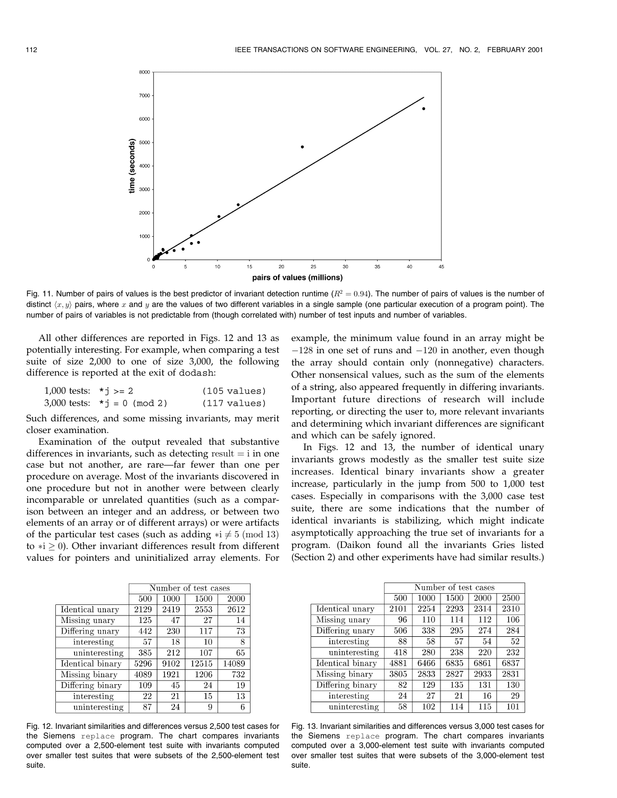

Fig. 11. Number of pairs of values is the best predictor of invariant detection runtime ( $R^2 = 0.94$ ). The number of pairs of values is the number of distinct  $\langle x, y \rangle$  pairs, where x and y are the values of two different variables in a single sample (one particular execution of a program point). The number of pairs of variables is not predictable from (though correlated with) number of test inputs and number of variables.

All other differences are reported in Figs. 12 and 13 as potentially interesting. For example, when comparing a test suite of size 2,000 to one of size 3,000, the following difference is reported at the exit of dodash:

| 1,000 tests: $*$ j >= 2 |                                  | $(105 \text{ values})$ |
|-------------------------|----------------------------------|------------------------|
|                         | $3,000$ tests: $*$ j = 0 (mod 2) | $(117 \text{ values})$ |

Such differences, and some missing invariants, may merit closer examination.

Examination of the output revealed that substantive differences in invariants, such as detecting  $result = i$  in one case but not another, are rare—far fewer than one per procedure on average. Most of the invariants discovered in one procedure but not in another were between clearly incomparable or unrelated quantities (such as a comparison between an integer and an address, or between two elements of an array or of different arrays) or were artifacts of the particular test cases (such as adding  $\ast i \neq 5 \pmod{13}$ to  $\ast i \geq 0$ ). Other invariant differences result from different values for pointers and uninitialized array elements. For

example, the minimum value found in an array might be  $-128$  in one set of runs and  $-120$  in another, even though the array should contain only (nonnegative) characters. Other nonsensical values, such as the sum of the elements of a string, also appeared frequently in differing invariants. Important future directions of research will include reporting, or directing the user to, more relevant invariants and determining which invariant differences are significant and which can be safely ignored.

In Figs. 12 and 13, the number of identical unary invariants grows modestly as the smaller test suite size increases. Identical binary invariants show a greater increase, particularly in the jump from 500 to 1,000 test cases. Especially in comparisons with the 3,000 case test suite, there are some indications that the number of identical invariants is stabilizing, which might indicate asymptotically approaching the true set of invariants for a program. (Daikon found all the invariants Gries listed (Section 2) and other experiments have had similar results.)

|                  | Number of test cases |      |       |       |  |  |
|------------------|----------------------|------|-------|-------|--|--|
|                  | 500                  | 1000 | 1500  | 2000  |  |  |
| Identical unary  | 2129                 | 2419 | 2553  | 2612  |  |  |
| Missing unary    | 125                  | 47   | 27    | 14    |  |  |
| Differing unary  | 442                  | 230  | 117   | 73    |  |  |
| interesting      | 57                   | 18   | 10    | 8     |  |  |
| uninteresting    | 385                  | 212  | 107   | 65    |  |  |
| Identical binary | 5296                 | 9102 | 12515 | 14089 |  |  |
| Missing binary   | 4089                 | 1921 | 1206  | 732   |  |  |
| Differing binary | 109                  | 45   | 24    | 19    |  |  |
| interesting      | 22                   | 21   | 15    | 13    |  |  |
| uninteresting    | 87                   | 24   | 9     | 6     |  |  |

Fig. 12. Invariant similarities and differences versus 2,500 test cases for the Siemens replace program. The chart compares invariants computed over a 2,500-element test suite with invariants computed over smaller test suites that were subsets of the 2,500-element test suite.

|                  | Number of test cases                |      |      |      |      |  |
|------------------|-------------------------------------|------|------|------|------|--|
|                  | 2500<br>500<br>1500<br>1000<br>2000 |      |      |      |      |  |
| Identical unary  | 2101                                | 2254 | 2293 | 2314 | 2310 |  |
| Missing unary    | 96                                  | 110  | 114  | 112  | 106  |  |
| Differing unary  | 506                                 | 338  | 295  | 274  | 284  |  |
| interesting      | 88                                  | 58   | 57   | 54   | 52   |  |
| uninteresting    | 418                                 | 280  | 238  | 220  | 232  |  |
| Identical binary | 4881                                | 6466 | 6835 | 6861 | 6837 |  |
| Missing binary   | 3805                                | 2833 | 2827 | 2933 | 2831 |  |
| Differing binary | 82                                  | 129  | 135  | 131  | 130  |  |
| interesting      | 24                                  | 27   | 21   | 16   | 29   |  |
| uninteresting    | 58                                  | 102  | 114  | 115  | 101  |  |

Fig. 13. Invariant similarities and differences versus 3,000 test cases for the Siemens replace program. The chart compares invariants computed over a 3,000-element test suite with invariants computed over smaller test suites that were subsets of the 3,000-element test suite.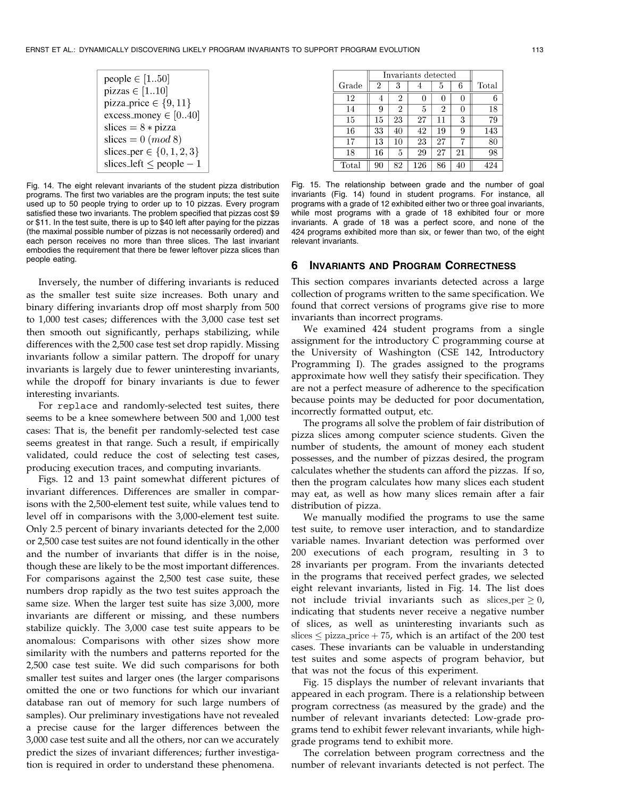people ∈ 
$$
[1..50]
$$
  
\npizza ≤  $[1..10]$   
\npizza-price ∈  $\{9, 11\}$   
\nexcess-money ∈  $[0..40]$   
\nslices =  $8 * \text{pizza}$   
\nslices =  $0 \pmod{8}$   
\nslices-per ∈  $\{0, 1, 2, 3\}$   
\nslices-left ≤ people − 1

Fig. 14. The eight relevant invariants of the student pizza distribution programs. The first two variables are the program inputs; the test suite used up to 50 people trying to order up to 10 pizzas. Every program satisfied these two invariants. The problem specified that pizzas cost \$9 or \$11. In the test suite, there is up to \$40 left after paying for the pizzas (the maximal possible number of pizzas is not necessarily ordered) and each person receives no more than three slices. The last invariant embodies the requirement that there be fewer leftover pizza slices than people eating.

Inversely, the number of differing invariants is reduced as the smaller test suite size increases. Both unary and binary differing invariants drop off most sharply from 500 to 1,000 test cases; differences with the 3,000 case test set then smooth out significantly, perhaps stabilizing, while differences with the 2,500 case test set drop rapidly. Missing invariants follow a similar pattern. The dropoff for unary invariants is largely due to fewer uninteresting invariants, while the dropoff for binary invariants is due to fewer interesting invariants.

For replace and randomly-selected test suites, there seems to be a knee somewhere between 500 and 1,000 test cases: That is, the benefit per randomly-selected test case seems greatest in that range. Such a result, if empirically validated, could reduce the cost of selecting test cases, producing execution traces, and computing invariants.

Figs. 12 and 13 paint somewhat different pictures of invariant differences. Differences are smaller in comparisons with the 2,500-element test suite, while values tend to level off in comparisons with the 3,000-element test suite. Only 2.5 percent of binary invariants detected for the 2,000 or 2,500 case test suites are not found identically in the other and the number of invariants that differ is in the noise, though these are likely to be the most important differences. For comparisons against the 2,500 test case suite, these numbers drop rapidly as the two test suites approach the same size. When the larger test suite has size 3,000, more invariants are different or missing, and these numbers stabilize quickly. The 3,000 case test suite appears to be anomalous: Comparisons with other sizes show more similarity with the numbers and patterns reported for the 2,500 case test suite. We did such comparisons for both smaller test suites and larger ones (the larger comparisons omitted the one or two functions for which our invariant database ran out of memory for such large numbers of samples). Our preliminary investigations have not revealed a precise cause for the larger differences between the 3,000 case test suite and all the others, nor can we accurately predict the sizes of invariant differences; further investigation is required in order to understand these phenomena.

|                | Invariants detected |    |     |    |                  |       |
|----------------|---------------------|----|-----|----|------------------|-------|
| Grade          | 2                   | 3  |     | 5  | 6                | Total |
| 12             | 4                   | 2  | 0   | 0  | $\left( \right)$ | 6     |
| 14             | 9                   | 2  | 5   | 2  | 0                | 18    |
| 15             | 15                  | 23 | 27  | 11 | 3                | 79    |
| 16             | 33                  | 40 | 42  | 19 | 9                | 143   |
| 17             | 13                  | 10 | 23  | 27 |                  | 80    |
| 18             | 16                  | 5  | 29  | 27 | 21               | 98    |
| $_{\rm Total}$ | 90                  | 82 | 126 | 86 | 40               | 424   |

Fig. 15. The relationship between grade and the number of goal invariants (Fig. 14) found in student programs. For instance, all programs with a grade of 12 exhibited either two or three goal invariants, while most programs with a grade of 18 exhibited four or more invariants. A grade of 18 was a perfect score, and none of the 424 programs exhibited more than six, or fewer than two, of the eight relevant invariants.

# 6 INVARIANTS AND PROGRAM CORRECTNESS

This section compares invariants detected across a large collection of programs written to the same specification. We found that correct versions of programs give rise to more invariants than incorrect programs.

We examined 424 student programs from a single assignment for the introductory C programming course at the University of Washington (CSE 142, Introductory Programming I). The grades assigned to the programs approximate how well they satisfy their specification. They are not a perfect measure of adherence to the specification because points may be deducted for poor documentation, incorrectly formatted output, etc.

The programs all solve the problem of fair distribution of pizza slices among computer science students. Given the number of students, the amount of money each student possesses, and the number of pizzas desired, the program calculates whether the students can afford the pizzas. If so, then the program calculates how many slices each student may eat, as well as how many slices remain after a fair distribution of pizza.

We manually modified the programs to use the same test suite, to remove user interaction, and to standardize variable names. Invariant detection was performed over 200 executions of each program, resulting in 3 to 28 invariants per program. From the invariants detected in the programs that received perfect grades, we selected eight relevant invariants, listed in Fig. 14. The list does not include trivial invariants such as slices per  $\geq 0$ , indicating that students never receive a negative number of slices, as well as uninteresting invariants such as slices  $\leq$  pizza price  $+75$ , which is an artifact of the 200 test cases. These invariants can be valuable in understanding test suites and some aspects of program behavior, but that was not the focus of this experiment.

Fig. 15 displays the number of relevant invariants that appeared in each program. There is a relationship between program correctness (as measured by the grade) and the number of relevant invariants detected: Low-grade programs tend to exhibit fewer relevant invariants, while highgrade programs tend to exhibit more.

The correlation between program correctness and the number of relevant invariants detected is not perfect. The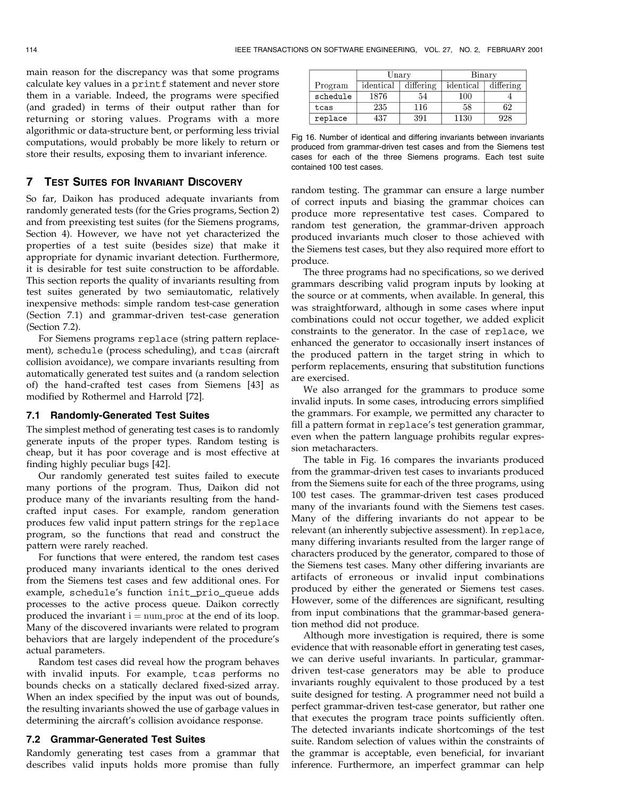main reason for the discrepancy was that some programs calculate key values in a printf statement and never store them in a variable. Indeed, the programs were specified (and graded) in terms of their output rather than for returning or storing values. Programs with a more algorithmic or data-structure bent, or performing less trivial computations, would probably be more likely to return or store their results, exposing them to invariant inference.

# 7 TEST SUITES FOR INVARIANT DISCOVERY

So far, Daikon has produced adequate invariants from randomly generated tests (for the Gries programs, Section 2) and from preexisting test suites (for the Siemens programs, Section 4). However, we have not yet characterized the properties of a test suite (besides size) that make it appropriate for dynamic invariant detection. Furthermore, it is desirable for test suite construction to be affordable. This section reports the quality of invariants resulting from test suites generated by two semiautomatic, relatively inexpensive methods: simple random test-case generation (Section 7.1) and grammar-driven test-case generation (Section 7.2).

For Siemens programs replace (string pattern replacement), schedule (process scheduling), and tcas (aircraft collision avoidance), we compare invariants resulting from automatically generated test suites and (a random selection of) the hand-crafted test cases from Siemens [43] as modified by Rothermel and Harrold [72].

## 7.1 Randomly-Generated Test Suites

The simplest method of generating test cases is to randomly generate inputs of the proper types. Random testing is cheap, but it has poor coverage and is most effective at finding highly peculiar bugs [42].

Our randomly generated test suites failed to execute many portions of the program. Thus, Daikon did not produce many of the invariants resulting from the handcrafted input cases. For example, random generation produces few valid input pattern strings for the replace program, so the functions that read and construct the pattern were rarely reached.

For functions that were entered, the random test cases produced many invariants identical to the ones derived from the Siemens test cases and few additional ones. For example, schedule's function init\_prio\_queue adds processes to the active process queue. Daikon correctly produced the invariant  $i =$  num proc at the end of its loop. Many of the discovered invariants were related to program behaviors that are largely independent of the procedure's actual parameters.

Random test cases did reveal how the program behaves with invalid inputs. For example, tcas performs no bounds checks on a statically declared fixed-sized array. When an index specified by the input was out of bounds, the resulting invariants showed the use of garbage values in determining the aircraft's collision avoidance response.

# 7.2 Grammar-Generated Test Suites

Randomly generating test cases from a grammar that describes valid inputs holds more promise than fully

|          | Unary     |           | Binary    |                               |  |
|----------|-----------|-----------|-----------|-------------------------------|--|
| Program  | identical | differing | identical | $\overline{\text{differing}}$ |  |
| schedule | 1876      | 54        | 100       |                               |  |
| tcas     | 235       | 116       | 58        | 62                            |  |
| replace  | 437       | 391       | 1130      | 928                           |  |

Fig 16. Number of identical and differing invariants between invariants produced from grammar-driven test cases and from the Siemens test cases for each of the three Siemens programs. Each test suite contained 100 test cases.

random testing. The grammar can ensure a large number of correct inputs and biasing the grammar choices can produce more representative test cases. Compared to random test generation, the grammar-driven approach produced invariants much closer to those achieved with the Siemens test cases, but they also required more effort to produce.

The three programs had no specifications, so we derived grammars describing valid program inputs by looking at the source or at comments, when available. In general, this was straightforward, although in some cases where input combinations could not occur together, we added explicit constraints to the generator. In the case of replace, we enhanced the generator to occasionally insert instances of the produced pattern in the target string in which to perform replacements, ensuring that substitution functions are exercised.

We also arranged for the grammars to produce some invalid inputs. In some cases, introducing errors simplified the grammars. For example, we permitted any character to fill a pattern format in replace's test generation grammar, even when the pattern language prohibits regular expression metacharacters.

The table in Fig. 16 compares the invariants produced from the grammar-driven test cases to invariants produced from the Siemens suite for each of the three programs, using 100 test cases. The grammar-driven test cases produced many of the invariants found with the Siemens test cases. Many of the differing invariants do not appear to be relevant (an inherently subjective assessment). In replace, many differing invariants resulted from the larger range of characters produced by the generator, compared to those of the Siemens test cases. Many other differing invariants are artifacts of erroneous or invalid input combinations produced by either the generated or Siemens test cases. However, some of the differences are significant, resulting from input combinations that the grammar-based generation method did not produce.

Although more investigation is required, there is some evidence that with reasonable effort in generating test cases, we can derive useful invariants. In particular, grammardriven test-case generators may be able to produce invariants roughly equivalent to those produced by a test suite designed for testing. A programmer need not build a perfect grammar-driven test-case generator, but rather one that executes the program trace points sufficiently often. The detected invariants indicate shortcomings of the test suite. Random selection of values within the constraints of the grammar is acceptable, even beneficial, for invariant inference. Furthermore, an imperfect grammar can help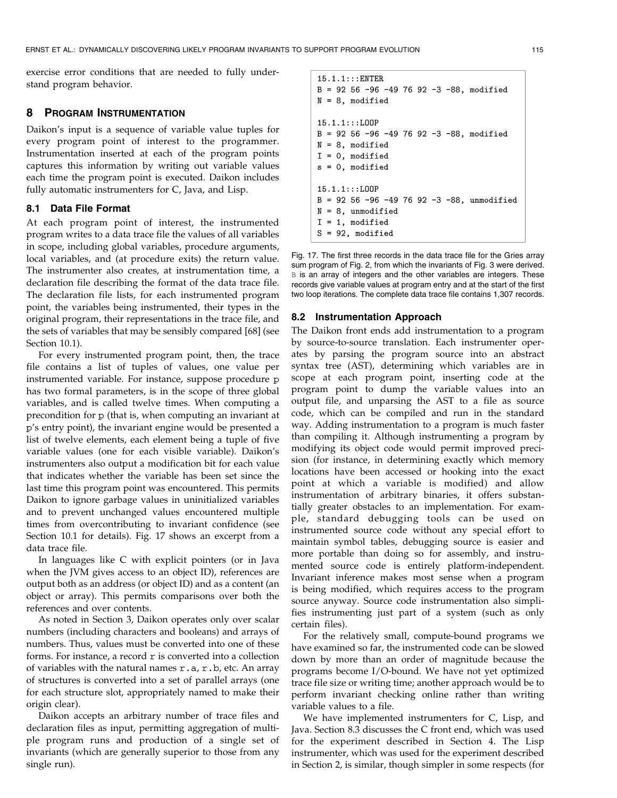exercise error conditions that are needed to fully understand program behavior.

# 8 PROGRAM INSTRUMENTATION

Daikon's input is a sequence of variable value tuples for every program point of interest to the programmer. Instrumentation inserted at each of the program points captures this information by writing out variable values each time the program point is executed. Daikon includes fully automatic instrumenters for C, Java, and Lisp.

# 8.1 Data File Format

At each program point of interest, the instrumented program writes to a data trace file the values of all variables in scope, including global variables, procedure arguments, local variables, and (at procedure exits) the return value. The instrumenter also creates, at instrumentation time, a declaration file describing the format of the data trace file. The declaration file lists, for each instrumented program point, the variables being instrumented, their types in the original program, their representations in the trace file, and the sets of variables that may be sensibly compared [68] (see Section 10.1).

For every instrumented program point, then, the trace file contains a list of tuples of values, one value per instrumented variable. For instance, suppose procedure p has two formal parameters, is in the scope of three global variables, and is called twelve times. When computing a precondition for p (that is, when computing an invariant at p's entry point), the invariant engine would be presented a list of twelve elements, each element being a tuple of five variable values (one for each visible variable). Daikon's instrumenters also output a modification bit for each value that indicates whether the variable has been set since the last time this program point was encountered. This permits Daikon to ignore garbage values in uninitialized variables and to prevent unchanged values encountered multiple times from overcontributing to invariant confidence (see Section 10.1 for details). Fig. 17 shows an excerpt from a data trace file.

In languages like C with explicit pointers (or in Java when the JVM gives access to an object ID), references are output both as an address (or object ID) and as a content (an object or array). This permits comparisons over both the references and over contents.

As noted in Section 3, Daikon operates only over scalar numbers (including characters and booleans) and arrays of numbers. Thus, values must be converted into one of these forms. For instance, a record  $r$  is converted into a collection of variables with the natural names  $r.a, r.b$ , etc. An array of structures is converted into a set of parallel arrays (one for each structure slot, appropriately named to make their origin clear).

Daikon accepts an arbitrary number of trace files and declaration files as input, permitting aggregation of multiple program runs and production of a single set of invariants (which are generally superior to those from any single run).

 $15.1.1::$  ENTER B = 92 56 -96 -49 76 92 -3 -88, modified  $N = 8$ , modified  $15.1.1:::L00P$ B = 92 56 -96 -49 76 92 -3 -88, modified  $N = 8$ , modified  $I = 0$ , modified  $s = 0$ , modified  $15.1.1::L00P$ B = 92 56 -96 -49 76 92 -3 -88, unmodified  $N = 8$ , unmodified  $I = 1$ , modified  $S = 92$ , modified

Fig. 17. The first three records in the data trace file for the Gries array sum program of Fig. 2, from which the invariants of Fig. 3 were derived. B is an array of integers and the other variables are integers. These records give variable values at program entry and at the start of the first two loop iterations. The complete data trace file contains 1,307 records.

## 8.2 Instrumentation Approach

The Daikon front ends add instrumentation to a program by source-to-source translation. Each instrumenter operates by parsing the program source into an abstract syntax tree (AST), determining which variables are in scope at each program point, inserting code at the program point to dump the variable values into an output file, and unparsing the AST to a file as source code, which can be compiled and run in the standard way. Adding instrumentation to a program is much faster than compiling it. Although instrumenting a program by modifying its object code would permit improved precision (for instance, in determining exactly which memory locations have been accessed or hooking into the exact point at which a variable is modified) and allow instrumentation of arbitrary binaries, it offers substantially greater obstacles to an implementation. For example, standard debugging tools can be used on instrumented source code without any special effort to maintain symbol tables, debugging source is easier and more portable than doing so for assembly, and instrumented source code is entirely platform-independent. Invariant inference makes most sense when a program is being modified, which requires access to the program source anyway. Source code instrumentation also simplifies instrumenting just part of a system (such as only certain files).

For the relatively small, compute-bound programs we have examined so far, the instrumented code can be slowed down by more than an order of magnitude because the programs become I/O-bound. We have not yet optimized trace file size or writing time; another approach would be to perform invariant checking online rather than writing variable values to a file.

We have implemented instrumenters for C, Lisp, and Java. Section 8.3 discusses the C front end, which was used for the experiment described in Section 4. The Lisp instrumenter, which was used for the experiment described in Section 2, is similar, though simpler in some respects (for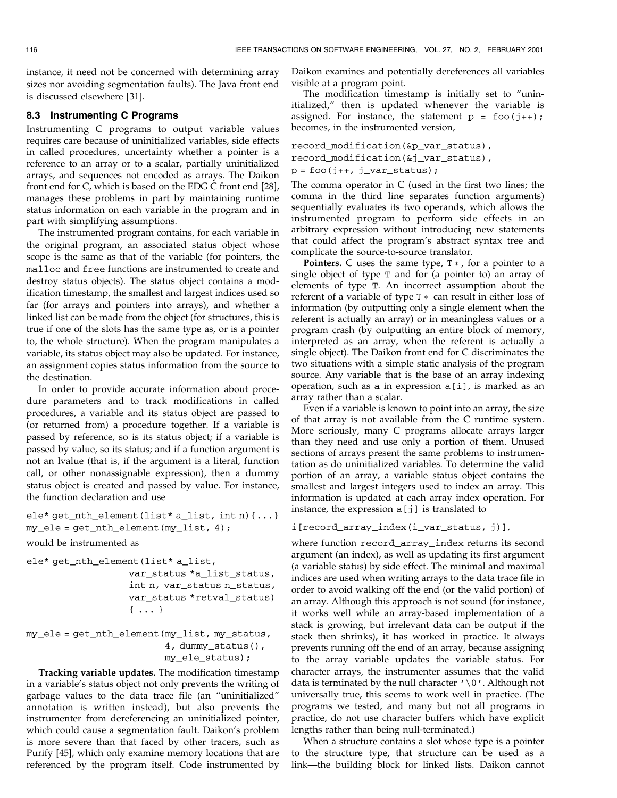instance, it need not be concerned with determining array sizes nor avoiding segmentation faults). The Java front end is discussed elsewhere [31].

# 8.3 Instrumenting C Programs

Instrumenting C programs to output variable values requires care because of uninitialized variables, side effects in called procedures, uncertainty whether a pointer is a reference to an array or to a scalar, partially uninitialized arrays, and sequences not encoded as arrays. The Daikon front end for C, which is based on the EDG C front end [28], manages these problems in part by maintaining runtime status information on each variable in the program and in part with simplifying assumptions.

The instrumented program contains, for each variable in the original program, an associated status object whose scope is the same as that of the variable (for pointers, the malloc and free functions are instrumented to create and destroy status objects). The status object contains a modification timestamp, the smallest and largest indices used so far (for arrays and pointers into arrays), and whether a linked list can be made from the object (for structures, this is true if one of the slots has the same type as, or is a pointer to, the whole structure). When the program manipulates a variable, its status object may also be updated. For instance, an assignment copies status information from the source to the destination.

In order to provide accurate information about procedure parameters and to track modifications in called procedures, a variable and its status object are passed to (or returned from) a procedure together. If a variable is passed by reference, so is its status object; if a variable is passed by value, so its status; and if a function argument is not an lvalue (that is, if the argument is a literal, function call, or other nonassignable expression), then a dummy status object is created and passed by value. For instance, the function declaration and use

ele\* get\_nth\_element(list\* a\_list, int n){...} my\_ele = get\_nth\_element(my\_list, 4);

would be instrumented as

```
ele* get_nth_element(list* a_list,
                  var_status *a_list_status,
                  int n, var_status n_status,
                  var_status *retval_status)
                   { ... }
```
my\_ele = get\_nth\_element(my\_list, my\_status, 4, dummy\_status(), my\_ele\_status);

Tracking variable updates. The modification timestamp in a variable's status object not only prevents the writing of garbage values to the data trace file (an "uninitialized" annotation is written instead), but also prevents the instrumenter from dereferencing an uninitialized pointer, which could cause a segmentation fault. Daikon's problem is more severe than that faced by other tracers, such as Purify [45], which only examine memory locations that are referenced by the program itself. Code instrumented by

Daikon examines and potentially dereferences all variables visible at a program point.

The modification timestamp is initially set to "uninitialized," then is updated whenever the variable is assigned. For instance, the statement  $p = f \circ o(j++)$ ; becomes, in the instrumented version,

record\_modification(&p\_var\_status), record\_modification(&j\_var\_status),  $p = foo(j++)$ ,  $j_var_s tatus$ ;

The comma operator in C (used in the first two lines; the comma in the third line separates function arguments) sequentially evaluates its two operands, which allows the instrumented program to perform side effects in an arbitrary expression without introducing new statements that could affect the program's abstract syntax tree and complicate the source-to-source translator.

**Pointers.** C uses the same type,  $T^*$ , for a pointer to a single object of type T and for (a pointer to) an array of elements of type T. An incorrect assumption about the referent of a variable of type  $T *$  can result in either loss of information (by outputting only a single element when the referent is actually an array) or in meaningless values or a program crash (by outputting an entire block of memory, interpreted as an array, when the referent is actually a single object). The Daikon front end for C discriminates the two situations with a simple static analysis of the program source. Any variable that is the base of an array indexing operation, such as a in expression a[i], is marked as an array rather than a scalar.

Even if a variable is known to point into an array, the size of that array is not available from the C runtime system. More seriously, many C programs allocate arrays larger than they need and use only a portion of them. Unused sections of arrays present the same problems to instrumentation as do uninitialized variables. To determine the valid portion of an array, a variable status object contains the smallest and largest integers used to index an array. This information is updated at each array index operation. For instance, the expression a[j] is translated to

# i[record\_array\_index(i\_var\_status, j)],

where function record\_array\_index returns its second argument (an index), as well as updating its first argument (a variable status) by side effect. The minimal and maximal indices are used when writing arrays to the data trace file in order to avoid walking off the end (or the valid portion) of an array. Although this approach is not sound (for instance, it works well while an array-based implementation of a stack is growing, but irrelevant data can be output if the stack then shrinks), it has worked in practice. It always prevents running off the end of an array, because assigning to the array variable updates the variable status. For character arrays, the instrumenter assumes that the valid data is terminated by the null character  $\prime \setminus 0'$ . Although not universally true, this seems to work well in practice. (The programs we tested, and many but not all programs in practice, do not use character buffers which have explicit lengths rather than being null-terminated.)

When a structure contains a slot whose type is a pointer to the structure type, that structure can be used as a link-the building block for linked lists. Daikon cannot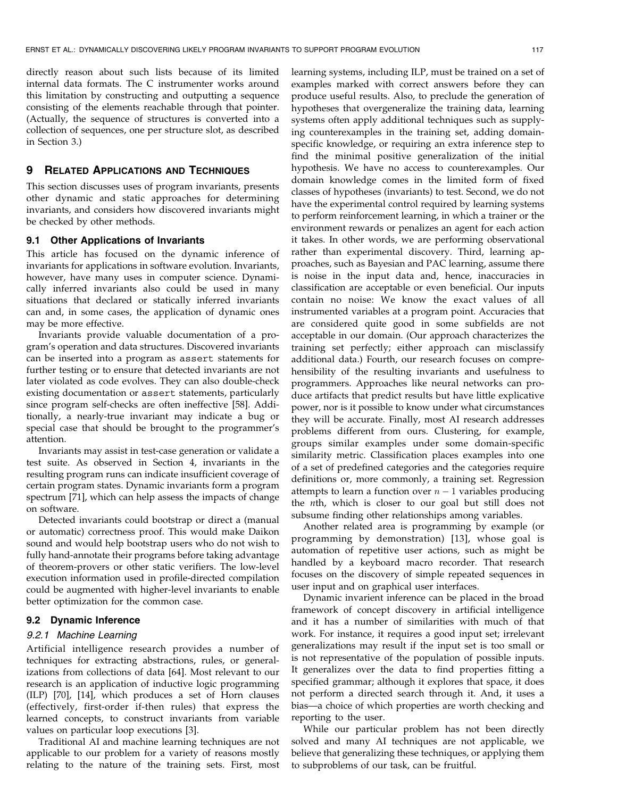directly reason about such lists because of its limited internal data formats. The C instrumenter works around this limitation by constructing and outputting a sequence consisting of the elements reachable through that pointer. (Actually, the sequence of structures is converted into a collection of sequences, one per structure slot, as described in Section 3.)

## 9 RELATED APPLICATIONS AND TECHNIQUES

This section discusses uses of program invariants, presents other dynamic and static approaches for determining invariants, and considers how discovered invariants might be checked by other methods.

## 9.1 Other Applications of Invariants

This article has focused on the dynamic inference of invariants for applications in software evolution. Invariants, however, have many uses in computer science. Dynamically inferred invariants also could be used in many situations that declared or statically inferred invariants can and, in some cases, the application of dynamic ones may be more effective.

Invariants provide valuable documentation of a program's operation and data structures. Discovered invariants can be inserted into a program as assert statements for further testing or to ensure that detected invariants are not later violated as code evolves. They can also double-check existing documentation or assert statements, particularly since program self-checks are often ineffective [58]. Additionally, a nearly-true invariant may indicate a bug or special case that should be brought to the programmer's attention.

Invariants may assist in test-case generation or validate a test suite. As observed in Section 4, invariants in the resulting program runs can indicate insufficient coverage of certain program states. Dynamic invariants form a program spectrum [71], which can help assess the impacts of change on software.

Detected invariants could bootstrap or direct a (manual or automatic) correctness proof. This would make Daikon sound and would help bootstrap users who do not wish to fully hand-annotate their programs before taking advantage of theorem-provers or other static verifiers. The low-level execution information used in profile-directed compilation could be augmented with higher-level invariants to enable better optimization for the common case.

# 9.2 Dynamic Inference

#### 9.2.1 Machine Learning

Artificial intelligence research provides a number of techniques for extracting abstractions, rules, or generalizations from collections of data [64]. Most relevant to our research is an application of inductive logic programming (ILP) [70], [14], which produces a set of Horn clauses (effectively, first-order if-then rules) that express the learned concepts, to construct invariants from variable values on particular loop executions [3].

Traditional AI and machine learning techniques are not applicable to our problem for a variety of reasons mostly relating to the nature of the training sets. First, most learning systems, including ILP, must be trained on a set of examples marked with correct answers before they can produce useful results. Also, to preclude the generation of hypotheses that overgeneralize the training data, learning systems often apply additional techniques such as supplying counterexamples in the training set, adding domainspecific knowledge, or requiring an extra inference step to find the minimal positive generalization of the initial hypothesis. We have no access to counterexamples. Our domain knowledge comes in the limited form of fixed classes of hypotheses (invariants) to test. Second, we do not have the experimental control required by learning systems to perform reinforcement learning, in which a trainer or the environment rewards or penalizes an agent for each action it takes. In other words, we are performing observational rather than experimental discovery. Third, learning approaches, such as Bayesian and PAC learning, assume there is noise in the input data and, hence, inaccuracies in classification are acceptable or even beneficial. Our inputs contain no noise: We know the exact values of all instrumented variables at a program point. Accuracies that are considered quite good in some subfields are not acceptable in our domain. (Our approach characterizes the training set perfectly; either approach can misclassify additional data.) Fourth, our research focuses on comprehensibility of the resulting invariants and usefulness to programmers. Approaches like neural networks can produce artifacts that predict results but have little explicative power, nor is it possible to know under what circumstances they will be accurate. Finally, most AI research addresses problems different from ours. Clustering, for example, groups similar examples under some domain-specific similarity metric. Classification places examples into one of a set of predefined categories and the categories require definitions or, more commonly, a training set. Regression attempts to learn a function over  $n - 1$  variables producing the nth, which is closer to our goal but still does not subsume finding other relationships among variables.

Another related area is programming by example (or programming by demonstration) [13], whose goal is automation of repetitive user actions, such as might be handled by a keyboard macro recorder. That research focuses on the discovery of simple repeated sequences in user input and on graphical user interfaces.

Dynamic invarient inference can be placed in the broad framework of concept discovery in artificial intelligence and it has a number of similarities with much of that work. For instance, it requires a good input set; irrelevant generalizations may result if the input set is too small or is not representative of the population of possible inputs. It generalizes over the data to find properties fitting a specified grammar; although it explores that space, it does not perform a directed search through it. And, it uses a bias—a choice of which properties are worth checking and reporting to the user.

While our particular problem has not been directly solved and many AI techniques are not applicable, we believe that generalizing these techniques, or applying them to subproblems of our task, can be fruitful.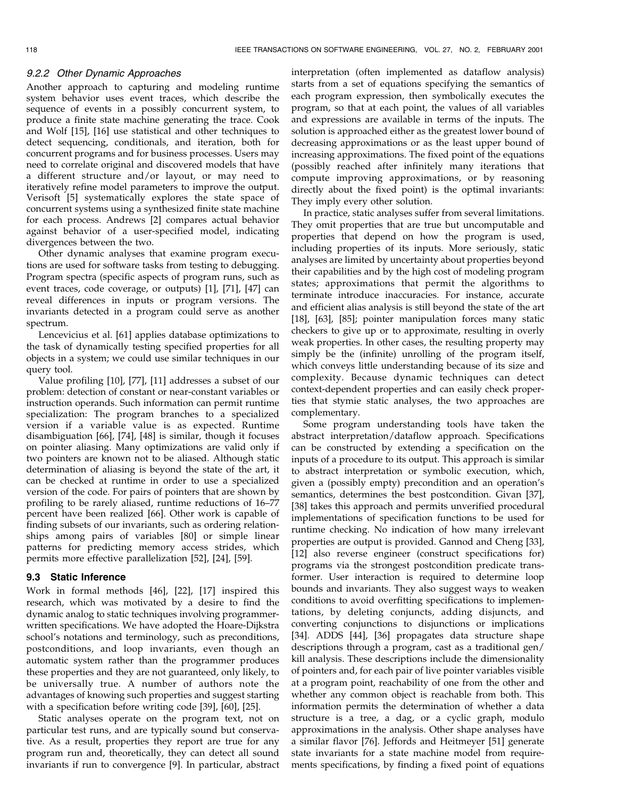## 9.2.2 Other Dynamic Approaches

Another approach to capturing and modeling runtime system behavior uses event traces, which describe the sequence of events in a possibly concurrent system, to produce a finite state machine generating the trace. Cook and Wolf [15], [16] use statistical and other techniques to detect sequencing, conditionals, and iteration, both for concurrent programs and for business processes. Users may need to correlate original and discovered models that have a different structure and/or layout, or may need to iteratively refine model parameters to improve the output. Verisoft [5] systematically explores the state space of concurrent systems using a synthesized finite state machine for each process. Andrews [2] compares actual behavior against behavior of a user-specified model, indicating divergences between the two.

Other dynamic analyses that examine program executions are used for software tasks from testing to debugging. Program spectra (specific aspects of program runs, such as event traces, code coverage, or outputs) [1], [71], [47] can reveal differences in inputs or program versions. The invariants detected in a program could serve as another spectrum.

Lencevicius et al. [61] applies database optimizations to the task of dynamically testing specified properties for all objects in a system; we could use similar techniques in our query tool.

Value profiling [10], [77], [11] addresses a subset of our problem: detection of constant or near-constant variables or instruction operands. Such information can permit runtime specialization: The program branches to a specialized version if a variable value is as expected. Runtime disambiguation [66], [74], [48] is similar, though it focuses on pointer aliasing. Many optimizations are valid only if two pointers are known not to be aliased. Although static determination of aliasing is beyond the state of the art, it can be checked at runtime in order to use a specialized version of the code. For pairs of pointers that are shown by profiling to be rarely aliased, runtime reductions of 16-77 percent have been realized [66]. Other work is capable of finding subsets of our invariants, such as ordering relationships among pairs of variables [80] or simple linear patterns for predicting memory access strides, which permits more effective parallelization [52], [24], [59].

## 9.3 Static Inference

Work in formal methods [46], [22], [17] inspired this research, which was motivated by a desire to find the dynamic analog to static techniques involving programmerwritten specifications. We have adopted the Hoare-Dijkstra school's notations and terminology, such as preconditions, postconditions, and loop invariants, even though an automatic system rather than the programmer produces these properties and they are not guaranteed, only likely, to be universally true. A number of authors note the advantages of knowing such properties and suggest starting with a specification before writing code [39], [60], [25].

Static analyses operate on the program text, not on particular test runs, and are typically sound but conservative. As a result, properties they report are true for any program run and, theoretically, they can detect all sound invariants if run to convergence [9]. In particular, abstract

interpretation (often implemented as dataflow analysis) starts from a set of equations specifying the semantics of each program expression, then symbolically executes the program, so that at each point, the values of all variables and expressions are available in terms of the inputs. The solution is approached either as the greatest lower bound of decreasing approximations or as the least upper bound of increasing approximations. The fixed point of the equations (possibly reached after infinitely many iterations that compute improving approximations, or by reasoning directly about the fixed point) is the optimal invariants: They imply every other solution.

In practice, static analyses suffer from several limitations. They omit properties that are true but uncomputable and properties that depend on how the program is used, including properties of its inputs. More seriously, static analyses are limited by uncertainty about properties beyond their capabilities and by the high cost of modeling program states; approximations that permit the algorithms to terminate introduce inaccuracies. For instance, accurate and efficient alias analysis is still beyond the state of the art [18], [63], [85]; pointer manipulation forces many static checkers to give up or to approximate, resulting in overly weak properties. In other cases, the resulting property may simply be the (infinite) unrolling of the program itself, which conveys little understanding because of its size and complexity. Because dynamic techniques can detect context-dependent properties and can easily check properties that stymie static analyses, the two approaches are complementary.

Some program understanding tools have taken the abstract interpretation/dataflow approach. Specifications can be constructed by extending a specification on the inputs of a procedure to its output. This approach is similar to abstract interpretation or symbolic execution, which, given a (possibly empty) precondition and an operation's semantics, determines the best postcondition. Givan [37], [38] takes this approach and permits unverified procedural implementations of specification functions to be used for runtime checking. No indication of how many irrelevant properties are output is provided. Gannod and Cheng [33], [12] also reverse engineer (construct specifications for) programs via the strongest postcondition predicate transformer. User interaction is required to determine loop bounds and invariants. They also suggest ways to weaken conditions to avoid overfitting specifications to implementations, by deleting conjuncts, adding disjuncts, and converting conjunctions to disjunctions or implications [34]. ADDS [44], [36] propagates data structure shape descriptions through a program, cast as a traditional gen/ kill analysis. These descriptions include the dimensionality of pointers and, for each pair of live pointer variables visible at a program point, reachability of one from the other and whether any common object is reachable from both. This information permits the determination of whether a data structure is a tree, a dag, or a cyclic graph, modulo approximations in the analysis. Other shape analyses have a similar flavor [76]. Jeffords and Heitmeyer [51] generate state invariants for a state machine model from requirements specifications, by finding a fixed point of equations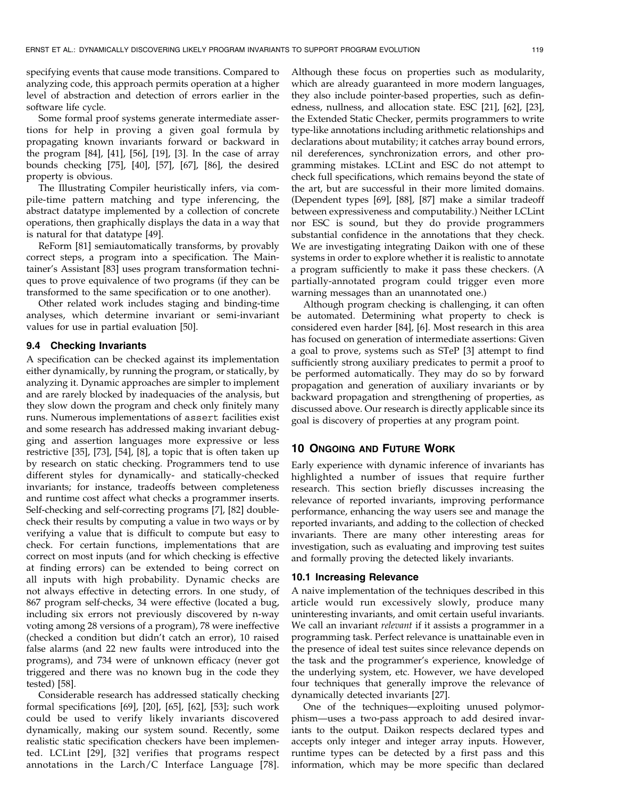specifying events that cause mode transitions. Compared to analyzing code, this approach permits operation at a higher level of abstraction and detection of errors earlier in the software life cycle.

Some formal proof systems generate intermediate assertions for help in proving a given goal formula by propagating known invariants forward or backward in the program [84], [41], [56], [19], [3]. In the case of array bounds checking [75], [40], [57], [67], [86], the desired property is obvious.

The Illustrating Compiler heuristically infers, via compile-time pattern matching and type inferencing, the abstract datatype implemented by a collection of concrete operations, then graphically displays the data in a way that is natural for that datatype [49].

ReForm [81] semiautomatically transforms, by provably correct steps, a program into a specification. The Maintainer's Assistant [83] uses program transformation techniques to prove equivalence of two programs (if they can be transformed to the same specification or to one another).

Other related work includes staging and binding-time analyses, which determine invariant or semi-invariant values for use in partial evaluation [50].

## 9.4 Checking Invariants

A specification can be checked against its implementation either dynamically, by running the program, or statically, by analyzing it. Dynamic approaches are simpler to implement and are rarely blocked by inadequacies of the analysis, but they slow down the program and check only finitely many runs. Numerous implementations of assert facilities exist and some research has addressed making invariant debugging and assertion languages more expressive or less restrictive [35], [73], [54], [8], a topic that is often taken up by research on static checking. Programmers tend to use different styles for dynamically- and statically-checked invariants; for instance, tradeoffs between completeness and runtime cost affect what checks a programmer inserts. Self-checking and self-correcting programs [7], [82] doublecheck their results by computing a value in two ways or by verifying a value that is difficult to compute but easy to check. For certain functions, implementations that are correct on most inputs (and for which checking is effective at finding errors) can be extended to being correct on all inputs with high probability. Dynamic checks are not always effective in detecting errors. In one study, of 867 program self-checks, 34 were effective (located a bug, including six errors not previously discovered by n-way voting among 28 versions of a program), 78 were ineffective (checked a condition but didn't catch an error), 10 raised false alarms (and 22 new faults were introduced into the programs), and 734 were of unknown efficacy (never got triggered and there was no known bug in the code they tested) [58].

Considerable research has addressed statically checking formal specifications [69], [20], [65], [62], [53]; such work could be used to verify likely invariants discovered dynamically, making our system sound. Recently, some realistic static specification checkers have been implemented. LCLint [29], [32] verifies that programs respect annotations in the Larch/C Interface Language [78].

Although these focus on properties such as modularity, which are already guaranteed in more modern languages, they also include pointer-based properties, such as definedness, nullness, and allocation state. ESC [21], [62], [23], the Extended Static Checker, permits programmers to write type-like annotations including arithmetic relationships and declarations about mutability; it catches array bound errors, nil dereferences, synchronization errors, and other programming mistakes. LCLint and ESC do not attempt to check full specifications, which remains beyond the state of the art, but are successful in their more limited domains. (Dependent types [69], [88], [87] make a similar tradeoff between expressiveness and computability.) Neither LCLint nor ESC is sound, but they do provide programmers substantial confidence in the annotations that they check. We are investigating integrating Daikon with one of these systems in order to explore whether it is realistic to annotate a program sufficiently to make it pass these checkers. (A partially-annotated program could trigger even more warning messages than an unannotated one.)

Although program checking is challenging, it can often be automated. Determining what property to check is considered even harder [84], [6]. Most research in this area has focused on generation of intermediate assertions: Given a goal to prove, systems such as STeP [3] attempt to find sufficiently strong auxiliary predicates to permit a proof to be performed automatically. They may do so by forward propagation and generation of auxiliary invariants or by backward propagation and strengthening of properties, as discussed above. Our research is directly applicable since its goal is discovery of properties at any program point.

## 10 ONGOING AND FUTURE WORK

Early experience with dynamic inference of invariants has highlighted a number of issues that require further research. This section briefly discusses increasing the relevance of reported invariants, improving performance performance, enhancing the way users see and manage the reported invariants, and adding to the collection of checked invariants. There are many other interesting areas for investigation, such as evaluating and improving test suites and formally proving the detected likely invariants.

# 10.1 Increasing Relevance

A naive implementation of the techniques described in this article would run excessively slowly, produce many uninteresting invariants, and omit certain useful invariants. We call an invariant relevant if it assists a programmer in a programming task. Perfect relevance is unattainable even in the presence of ideal test suites since relevance depends on the task and the programmer's experience, knowledge of the underlying system, etc. However, we have developed four techniques that generally improve the relevance of dynamically detected invariants [27].

One of the techniques—exploiting unused polymorphism-uses a two-pass approach to add desired invariants to the output. Daikon respects declared types and accepts only integer and integer array inputs. However, runtime types can be detected by a first pass and this information, which may be more specific than declared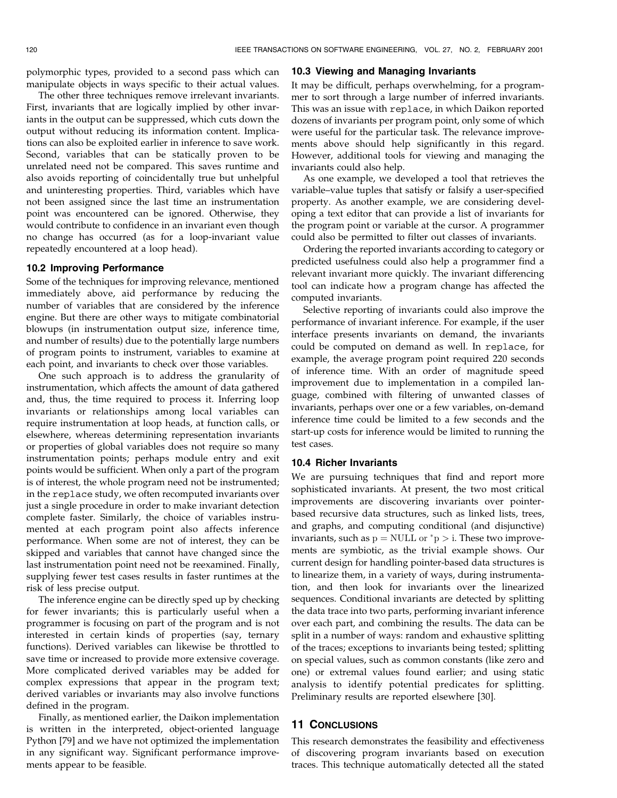polymorphic types, provided to a second pass which can manipulate objects in ways specific to their actual values.

The other three techniques remove irrelevant invariants. First, invariants that are logically implied by other invariants in the output can be suppressed, which cuts down the output without reducing its information content. Implications can also be exploited earlier in inference to save work. Second, variables that can be statically proven to be unrelated need not be compared. This saves runtime and also avoids reporting of coincidentally true but unhelpful and uninteresting properties. Third, variables which have not been assigned since the last time an instrumentation point was encountered can be ignored. Otherwise, they would contribute to confidence in an invariant even though no change has occurred (as for a loop-invariant value repeatedly encountered at a loop head).

# 10.2 Improving Performance

Some of the techniques for improving relevance, mentioned immediately above, aid performance by reducing the number of variables that are considered by the inference engine. But there are other ways to mitigate combinatorial blowups (in instrumentation output size, inference time, and number of results) due to the potentially large numbers of program points to instrument, variables to examine at each point, and invariants to check over those variables.

One such approach is to address the granularity of instrumentation, which affects the amount of data gathered and, thus, the time required to process it. Inferring loop invariants or relationships among local variables can require instrumentation at loop heads, at function calls, or elsewhere, whereas determining representation invariants or properties of global variables does not require so many instrumentation points; perhaps module entry and exit points would be sufficient. When only a part of the program is of interest, the whole program need not be instrumented; in the replace study, we often recomputed invariants over just a single procedure in order to make invariant detection complete faster. Similarly, the choice of variables instrumented at each program point also affects inference performance. When some are not of interest, they can be skipped and variables that cannot have changed since the last instrumentation point need not be reexamined. Finally, supplying fewer test cases results in faster runtimes at the risk of less precise output.

The inference engine can be directly sped up by checking for fewer invariants; this is particularly useful when a programmer is focusing on part of the program and is not interested in certain kinds of properties (say, ternary functions). Derived variables can likewise be throttled to save time or increased to provide more extensive coverage. More complicated derived variables may be added for complex expressions that appear in the program text; derived variables or invariants may also involve functions defined in the program.

Finally, as mentioned earlier, the Daikon implementation is written in the interpreted, object-oriented language Python [79] and we have not optimized the implementation in any significant way. Significant performance improvements appear to be feasible.

## 10.3 Viewing and Managing Invariants

It may be difficult, perhaps overwhelming, for a programmer to sort through a large number of inferred invariants. This was an issue with replace, in which Daikon reported dozens of invariants per program point, only some of which were useful for the particular task. The relevance improvements above should help significantly in this regard. However, additional tools for viewing and managing the invariants could also help.

As one example, we developed a tool that retrieves the variable-value tuples that satisfy or falsify a user-specified property. As another example, we are considering developing a text editor that can provide a list of invariants for the program point or variable at the cursor. A programmer could also be permitted to filter out classes of invariants.

Ordering the reported invariants according to category or predicted usefulness could also help a programmer find a relevant invariant more quickly. The invariant differencing tool can indicate how a program change has affected the computed invariants.

Selective reporting of invariants could also improve the performance of invariant inference. For example, if the user interface presents invariants on demand, the invariants could be computed on demand as well. In replace, for example, the average program point required 220 seconds of inference time. With an order of magnitude speed improvement due to implementation in a compiled language, combined with filtering of unwanted classes of invariants, perhaps over one or a few variables, on-demand inference time could be limited to a few seconds and the start-up costs for inference would be limited to running the test cases.

## 10.4 Richer Invariants

We are pursuing techniques that find and report more sophisticated invariants. At present, the two most critical improvements are discovering invariants over pointerbased recursive data structures, such as linked lists, trees, and graphs, and computing conditional (and disjunctive) invariants, such as  $p = NULL$  or  $p > i$ . These two improvements are symbiotic, as the trivial example shows. Our current design for handling pointer-based data structures is to linearize them, in a variety of ways, during instrumentation, and then look for invariants over the linearized sequences. Conditional invariants are detected by splitting the data trace into two parts, performing invariant inference over each part, and combining the results. The data can be split in a number of ways: random and exhaustive splitting of the traces; exceptions to invariants being tested; splitting on special values, such as common constants (like zero and one) or extremal values found earlier; and using static analysis to identify potential predicates for splitting. Preliminary results are reported elsewhere [30].

# 11 CONCLUSIONS

This research demonstrates the feasibility and effectiveness of discovering program invariants based on execution traces. This technique automatically detected all the stated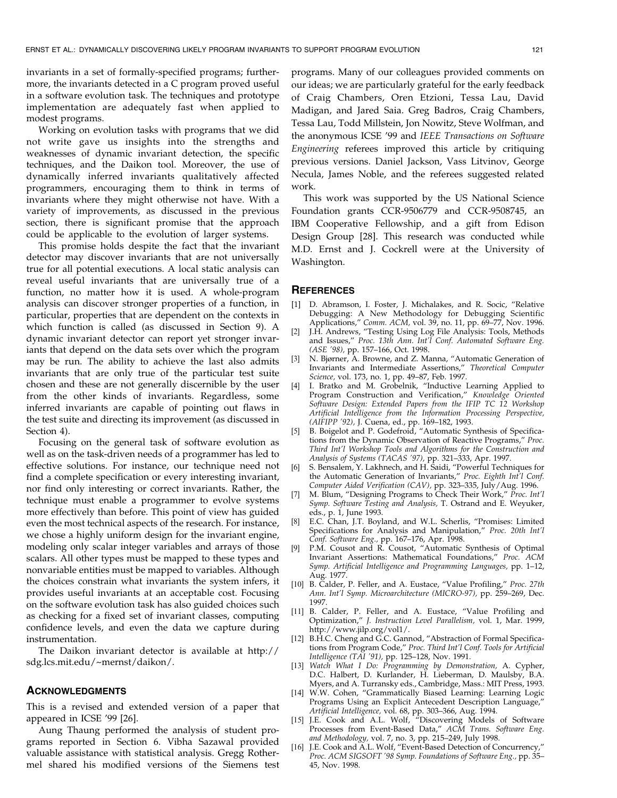invariants in a set of formally-specified programs; furthermore, the invariants detected in a C program proved useful in a software evolution task. The techniques and prototype implementation are adequately fast when applied to modest programs.

Working on evolution tasks with programs that we did not write gave us insights into the strengths and weaknesses of dynamic invariant detection, the specific techniques, and the Daikon tool. Moreover, the use of dynamically inferred invariants qualitatively affected programmers, encouraging them to think in terms of invariants where they might otherwise not have. With a variety of improvements, as discussed in the previous section, there is significant promise that the approach could be applicable to the evolution of larger systems.

This promise holds despite the fact that the invariant detector may discover invariants that are not universally true for all potential executions. A local static analysis can reveal useful invariants that are universally true of a function, no matter how it is used. A whole-program analysis can discover stronger properties of a function, in particular, properties that are dependent on the contexts in which function is called (as discussed in Section 9). A dynamic invariant detector can report yet stronger invariants that depend on the data sets over which the program may be run. The ability to achieve the last also admits invariants that are only true of the particular test suite chosen and these are not generally discernible by the user from the other kinds of invariants. Regardless, some inferred invariants are capable of pointing out flaws in the test suite and directing its improvement (as discussed in Section 4).

Focusing on the general task of software evolution as well as on the task-driven needs of a programmer has led to effective solutions. For instance, our technique need not find a complete specification or every interesting invariant, nor find only interesting or correct invariants. Rather, the technique must enable a programmer to evolve systems more effectively than before. This point of view has guided even the most technical aspects of the research. For instance, we chose a highly uniform design for the invariant engine, modeling only scalar integer variables and arrays of those scalars. All other types must be mapped to these types and nonvariable entities must be mapped to variables. Although the choices constrain what invariants the system infers, it provides useful invariants at an acceptable cost. Focusing on the software evolution task has also guided choices such as checking for a fixed set of invariant classes, computing confidence levels, and even the data we capture during instrumentation.

The Daikon invariant detector is available at http:// sdg.lcs.mit.edu/~mernst/daikon/.

#### ACKNOWLEDGMENTS

This is a revised and extended version of a paper that appeared in ICSE '99 [26].

Aung Thaung performed the analysis of student programs reported in Section 6. Vibha Sazawal provided valuable assistance with statistical analysis. Gregg Rothermel shared his modified versions of the Siemens test programs. Many of our colleagues provided comments on our ideas; we are particularly grateful for the early feedback of Craig Chambers, Oren Etzioni, Tessa Lau, David Madigan, and Jared Saia. Greg Badros, Craig Chambers, Tessa Lau, Todd Millstein, Jon Nowitz, Steve Wolfman, and the anonymous ICSE '99 and IEEE Transactions on Software Engineering referees improved this article by critiquing previous versions. Daniel Jackson, Vass Litvinov, George Necula, James Noble, and the referees suggested related work.

This work was supported by the US National Science Foundation grants CCR-9506779 and CCR-9508745, an IBM Cooperative Fellowship, and a gift from Edison Design Group [28]. This research was conducted while M.D. Ernst and J. Cockrell were at the University of Washington.

## **REFERENCES**

- [1] D. Abramson, I. Foster, J. Michalakes, and R. Socic, "Relative Debugging: A New Methodology for Debugging Scientific Applications," Comm. ACM, vol. 39, no. 11, pp. 69–77, Nov. 1996.
- [2] J.H. Andrews, ªTesting Using Log File Analysis: Tools, Methods and Issues," Proc. 13th Ann. Int'l Conf. Automated Software Eng. (ASE '98), pp. 157-166, Oct. 1998.
- [3] N. Bjørner, A. Browne, and Z. Manna, "Automatic Generation of Invariants and Intermediate Assertions,º Theoretical Computer Science, vol. 173, no. 1, pp. 49-87, Feb. 1997.
- [4] I. Bratko and M. Grobelnik, ªInductive Learning Applied to Program Construction and Verification," Knowledge Oriented Software Design: Extended Papers from the IFIP TC 12 Workshop Artificial Intelligence from the Information Processing Perspective, (AIFIPP '92), J. Cuena, ed., pp. 169–182, 1993.
- [5] B. Boigelot and P. Godefroid, "Automatic Synthesis of Specifications from the Dynamic Observation of Reactive Programs," Proc. Third Int'l Workshop Tools and Algorithms for the Construction and Analysis of Systems (TACAS '97), pp. 321–333, Apr. 1997.
- [6] S. Bensalem, Y. Lakhnech, and H. Saidi, ªPowerful Techniques for the Automatic Generation of Invariants," Proc. Eighth Int'l Conf. Computer Aided Verification (CAV), pp. 323–335, July/Aug. 1996.
- [7] M. Blum, "Designing Programs to Check Their Work," Proc. Int'l Symp. Software Testing and Analysis, T. Ostrand and E. Weyuker, eds., p. 1, June 1993.
- [8] E.C. Chan, J.T. Boyland, and W.L. Scherlis, ªPromises: Limited Specifications for Analysis and Manipulation," Proc. 20th Int'l Conf. Software Eng., pp. 167-176, Apr. 1998.
- [9] P.M. Cousot and R. Cousot, ªAutomatic Synthesis of Optimal Invariant Assertions: Mathematical Foundations," Proc. ACM Symp. Artificial Intelligence and Programming Languages, pp. 1-12, Aug. 1977.
- [10] B. Calder, P. Feller, and A. Eustace, "Value Profiling," Proc. 27th Ann. Int'l Symp. Microarchitecture (MICRO-97), pp. 259-269, Dec. 1997.
- [11] B. Calder, P. Feller, and A. Eustace, "Value Profiling and Optimization," J. Instruction Level Parallelism, vol. 1, Mar. 1999, http://www.jilp.org/vol1/.
- [12] B.H.C. Cheng and G.C. Gannod, "Abstraction of Formal Specifications from Program Code," Proc. Third Int'l Conf. Tools for Artificial Intelligence (TAI '91), pp. 125-128, Nov. 1991.
- [13] Watch What I Do: Programming by Demonstration, A. Cypher, D.C. Halbert, D. Kurlander, H. Lieberman, D. Maulsby, B.A. Myers, and A. Turransky eds., Cambridge, Mass.: MIT Press, 1993.
- [14] W.W. Cohen, "Grammatically Biased Learning: Learning Logic Programs Using an Explicit Antecedent Description Language," Artificial Intelligence, vol. 68, pp. 303–366, Aug. 1994.
- [15] J.E. Cook and A.L. Wolf, "Discovering Models of Software Processes from Event-Based Data," ACM Trans. Software Eng. and Methodology, vol. 7, no. 3, pp. 215–249, July 1998.
- [16] J.E. Cook and A.L. Wolf, "Event-Based Detection of Concurrency," Proc. ACM SIGSOFT '98 Symp. Foundations of Software Eng., pp. 35-45, Nov. 1998.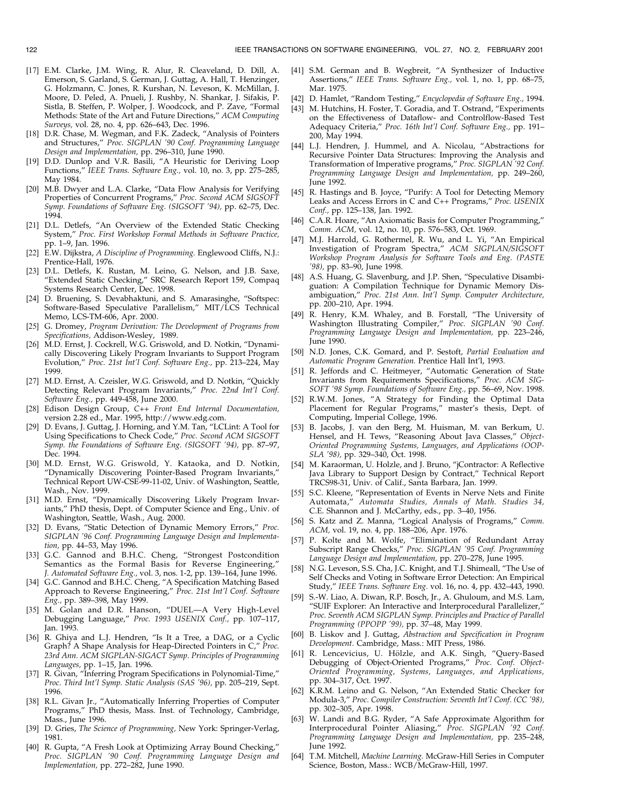- [17] E.M. Clarke, J.M. Wing, R. Alur, R. Cleaveland, D. Dill, A. Emerson, S. Garland, S. German, J. Guttag, A. Hall, T. Henzinger, G. Holzmann, C. Jones, R. Kurshan, N. Leveson, K. McMillan, J. Moore, D. Peled, A. Pnueli, J. Rushby, N. Shankar, J. Sifakis, P. Sistla, B. Steffen, P. Wolper, J. Woodcock, and P. Zave, ªFormal Methods: State of the Art and Future Directions," ACM Computing Surveys, vol. 28, no. 4, pp. 626-643, Dec. 1996.
- [18] D.R. Chase, M. Wegman, and F.K. Zadeck, "Analysis of Pointers and Structures," Proc. SIGPLAN '90 Conf. Programming Language Design and Implementation, pp. 296-310, June 1990.
- [19] D.D. Dunlop and V.R. Basili, "A Heuristic for Deriving Loop Functions," IEEE Trans. Software Eng., vol. 10, no. 3, pp. 275-285, May 1984.
- [20] M.B. Dwyer and L.A. Clarke, "Data Flow Analysis for Verifying Properties of Concurrent Programs," Proc. Second ACM SIGSOFT Symp. Foundations of Software Eng. (SIGSOFT '94), pp. 62-75, Dec. 1994.
- [21] D.L. Detlefs, "An Overview of the Extended Static Checking System," Proc. First Workshop Formal Methods in Software Practice, pp. 1±9, Jan. 1996.
- [22] E.W. Dijkstra, A Discipline of Programming. Englewood Cliffs, N.J.: Prentice-Hall, 1976.
- [23] D.L. Detlefs, K. Rustan, M. Leino, G. Nelson, and J.B. Saxe, ªExtended Static Checking,º SRC Research Report 159, Compaq Systems Research Center, Dec. 1998.
- [24] D. Bruening, S. Devabhaktuni, and S. Amarasinghe, "Softspec: Software-Based Speculative Parallelism," MIT/LCS Technical Memo, LCS-TM-606, Apr. 2000.
- [25] G. Dromey, Program Derivation: The Development of Programs from Specifications, Addison-Wesley, 1989.
- [26] M.D. Ernst, J. Cockrell, W.G. Griswold, and D. Notkin, "Dynamically Discovering Likely Program Invariants to Support Program Evolution," Proc. 21st Int'l Conf. Software Eng., pp. 213-224, May 1999.
- [27] M.D. Ernst, A. Czeisler, W.G. Griswold, and D. Notkin, "Quickly Detecting Relevant Program Invariants," Proc. 22nd Int'l Conf. Software Eng., pp. 449-458, June 2000.
- [28] Edison Design Group, C++ Front End Internal Documentation, version 2.28 ed., Mar. 1995, http://www.edg.com.
- [29] D. Evans, J. Guttag, J. Horning, and Y.M. Tan, ªLCLint: A Tool for Using Specifications to Check Code," Proc. Second ACM SIGSOFT Symp. the Foundations of Software Eng. (SIGSOFT '94), pp. 87-97, Dec. 1994.
- [30] M.D. Ernst, W.G. Griswold, Y. Kataoka, and D. Notkin, ªDynamically Discovering Pointer-Based Program Invariants,º Technical Report UW-CSE-99-11-02, Univ. of Washington, Seattle, Wash., Nov. 1999.
- [31] M.D. Ernst, "Dynamically Discovering Likely Program Invariants," PhD thesis, Dept. of Computer Science and Eng., Univ. of Washington, Seattle, Wash., Aug. 2000.
- [32] D. Evans, "Static Detection of Dynamic Memory Errors," Proc. SIGPLAN '96 Conf. Programming Language Design and Implementation, pp. 44-53, May 1996.
- [33] G.C. Gannod and B.H.C. Cheng, "Strongest Postcondition Semantics as the Formal Basis for Reverse Engineering," J. Automated Software Eng., vol. 3, nos. 1-2, pp. 139-164, June 1996.
- [34] G.C. Gannod and B.H.C. Cheng, "A Specification Matching Based Approach to Reverse Engineering," Proc. 21st Int'l Conf. Software Eng., pp. 389-398, May 1999.
- [35] M. Golan and D.R. Hanson, "DUEL-A Very High-Level Debugging Language," Proc. 1993 USENIX Conf., pp. 107-117, Jan. 1993.
- [36] R. Ghiya and L.J. Hendren, "Is It a Tree, a DAG, or a Cyclic Graph? A Shape Analysis for Heap-Directed Pointers in C," Proc. 23rd Ann. ACM SIGPLAN-SIGACT Symp. Principles of Programming Languages, pp. 1-15, Jan. 1996.
- [37] R. Givan, "Inferring Program Specifications in Polynomial-Time," Proc. Third Int'l Symp. Static Analysis (SAS '96), pp. 205-219, Sept. 1996.
- [38] R.L. Givan Jr., "Automatically Inferring Properties of Computer Programs," PhD thesis, Mass. Inst. of Technology, Cambridge, Mass., June 1996.
- [39] D. Gries, The Science of Programming, New York: Springer-Verlag, 1981.
- [40] R. Gupta, "A Fresh Look at Optimizing Array Bound Checking," Proc. SIGPLAN '90 Conf. Programming Language Design and Implementation, pp. 272-282, June 1990.
- [41] S.M. German and B. Wegbreit, "A Synthesizer of Inductive Assertions," IEEE Trans. Software Eng., vol. 1, no. 1, pp. 68-75, Mar. 1975.
- [42] D. Hamlet, "Random Testing," Encyclopedia of Software Eng., 1994.
- [43] M. Hutchins, H. Foster, T. Goradia, and T. Ostrand, "Experiments on the Effectiveness of Dataflow- and Controlflow-Based Test Adequacy Criteria," Proc. 16th Int'l Conf. Software Eng., pp. 191-200, May 1994.
- [44] L.J. Hendren, J. Hummel, and A. Nicolau, "Abstractions for Recursive Pointer Data Structures: Improving the Analysis and Transformation of Imperative programs," Proc. SIGPLAN '92 Conf. Programming Language Design and Implementation, pp. 249-260, June 1992.
- [45] R. Hastings and B. Joyce, "Purify: A Tool for Detecting Memory Leaks and Access Errors in C and C++ Programs," Proc. USENIX Conf., pp. 125-138, Jan. 1992.
- [46] C.A.R. Hoare, "An Axiomatic Basis for Computer Programming," Comm. ACM, vol. 12, no. 10, pp. 576-583, Oct. 1969.
- [47] M.J. Harrold, G. Rothermel, R. Wu, and L. Yi, ªAn Empirical Investigation of Program Spectra,º ACM SIGPLAN/SIGSOFT Workshop Program Analysis for Software Tools and Eng. (PASTE '98), pp. 83-90, June 1998.
- [48] A.S. Huang, G. Slavenburg, and J.P. Shen, "Speculative Disambiguation: A Compilation Technique for Dynamic Memory Disambiguation," Proc. 21st Ann. Int'l Symp. Computer Architecture, pp. 200±210, Apr. 1994.
- [49] R. Henry, K.M. Whaley, and B. Forstall, "The University of Washington Illustrating Compiler," Proc. SIGPLAN '90 Conf. Programming Language Design and Implementation, pp. 223-246, June 1990.
- [50] N.D. Jones, C.K. Gomard, and P. Sestoft, Partial Evaluation and Automatic Program Generation. Prentice Hall Int'l, 1993.
- [51] R. Jeffords and C. Heitmeyer, "Automatic Generation of State Invariants from Requirements Specifications," Proc. ACM SIG-SOFT '98 Symp. Foundations of Software Eng., pp. 56-69, Nov. 1998.
- [52] R.W.M. Jones, "A Strategy for Finding the Optimal Data Placement for Regular Programs,º master's thesis, Dept. of Computing, Imperial College, 1996.
- [53] B. Jacobs, J. van den Berg, M. Huisman, M. van Berkum, U. Hensel, and H. Tews, "Reasoning About Java Classes," Object-Oriented Programming Systems, Languages, and Applications (OOP-SLA '98), pp. 329-340, Oct. 1998.
- [54] M. Karaorman, U. Holzle, and J. Bruno, "jContractor: A Reflective Java Library to Support Design by Contract," Technical Report TRCS98-31, Univ. of Calif., Santa Barbara, Jan. 1999.
- [55] S.C. Kleene, "Representation of Events in Nerve Nets and Finite Automata,º Automata Studies, Annals of Math. Studies 34, C.E. Shannon and J. McCarthy, eds., pp. 3-40, 1956.
- [56] S. Katz and Z. Manna, "Logical Analysis of Programs," Comm. ACM, vol. 19, no. 4, pp. 188-206, Apr. 1976.
- [57] P. Kolte and M. Wolfe, ªElimination of Redundant Array Subscript Range Checks," Proc. SIGPLAN '95 Conf. Programming Language Design and Implementation, pp. 270-278, June 1995.
- [58] N.G. Leveson, S.S. Cha, J.C. Knight, and T.J. Shimeall, "The Use of Self Checks and Voting in Software Error Detection: An Empirical Study," IEEE Trans. Software Eng. vol. 16, no. 4, pp. 432-443, 1990.
- [59] S.-W. Liao, A. Diwan, R.P. Bosch, Jr., A. Ghuloum, and M.S. Lam, ªSUIF Explorer: An Interactive and Interprocedural Parallelizer,º Proc. Seventh ACM SIGPLAN Symp. Principles and Practice of Parallel Programming (PPOPP '99), pp. 37-48, May 1999.
- [60] B. Liskov and J. Guttag, Abstraction and Specification in Program Development. Cambridge, Mass.: MIT Press, 1986.
- [61] R. Lencevicius, U. Hölzle, and A.K. Singh, "Query-Based Debugging of Object-Oriented Programs," Proc. Conf. Object-Oriented Programming, Systems, Languages, and Applications, pp. 304-317, Oct. 1997
- [62] K.R.M. Leino and G. Nelson, "An Extended Static Checker for Modula-3," Proc. Compiler Construction: Seventh Int'l Conf. (CC '98), pp. 302±305, Apr. 1998.
- [63] W. Landi and B.G. Ryder, ªA Safe Approximate Algorithm for Interprocedural Pointer Aliasing," Proc. SIGPLAN '92 Conf. Programming Language Design and Implementation, pp. 235–248, June 1992.
- [64] T.M. Mitchell, Machine Learning. McGraw-Hill Series in Computer Science, Boston, Mass.: WCB/McGraw-Hill, 1997.